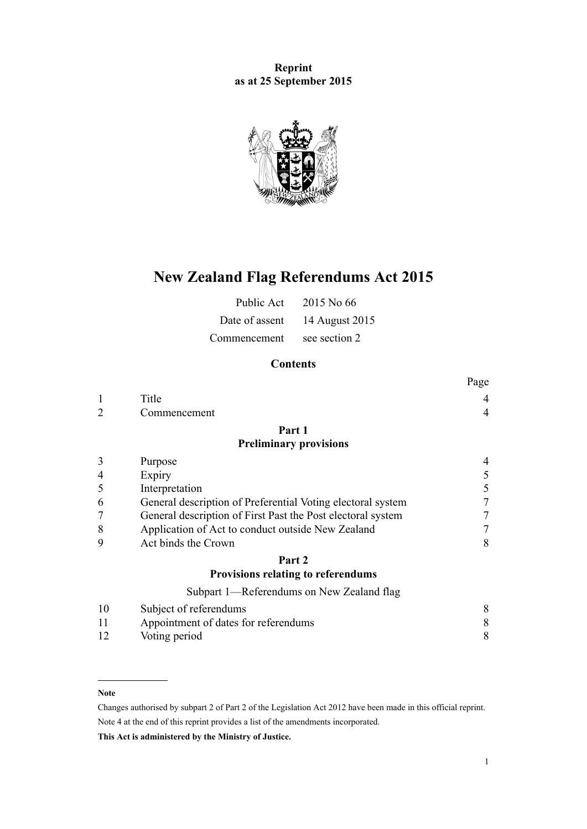**Reprint as at 25 September 2015**



# **New Zealand Flag Referendums Act 2015**

| Public Act     | 2015 No 66     |
|----------------|----------------|
| Date of assent | 14 August 2015 |
| Commencement   | see section 2  |

# **Contents**

|                |                                                             | Page           |
|----------------|-------------------------------------------------------------|----------------|
|                | Title                                                       | 4              |
| $\overline{2}$ | Commencement                                                | $\overline{4}$ |
|                | Part 1                                                      |                |
|                | <b>Preliminary provisions</b>                               |                |
| 3              | Purpose                                                     |                |
| 4              | Expiry                                                      |                |
| 5              | Interpretation                                              | 5              |
| 6              | General description of Preferential Voting electoral system | 7              |
| 7              | General description of First Past the Post electoral system |                |
| 8              | Application of Act to conduct outside New Zealand           | 7              |
| 9              | Act binds the Crown                                         | 8              |
|                | Part 2                                                      |                |
|                | Provisions relating to referendums                          |                |
|                | Subpart 1—Referendums on New Zealand flag                   |                |
| 10             | Subject of referendums                                      | 8              |

| 10 | Subject of referendums               |  |
|----|--------------------------------------|--|
|    | Appointment of dates for referendums |  |
| 12 | Voting period                        |  |

### **Note**

Changes authorised by [subpart 2](http://prd-lgnz-nlb.prd.pco.net.nz/pdflink.aspx?id=DLM2998524) of Part 2 of the Legislation Act 2012 have been made in this official reprint. Note 4 at the end of this reprint provides a list of the amendments incorporated.

**This Act is administered by the Ministry of Justice.**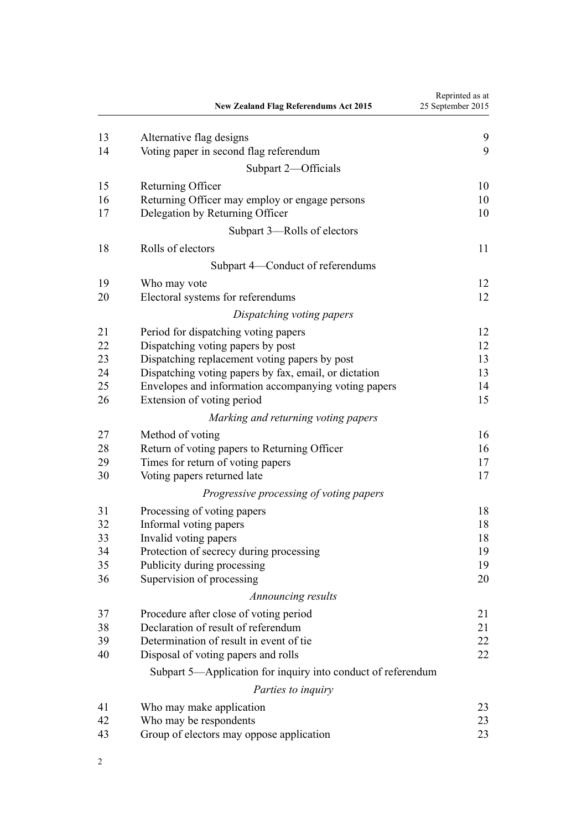|          | <b>New Zealand Flag Referendums Act 2015</b>                              | Reprinted as at<br>25 September 2015 |
|----------|---------------------------------------------------------------------------|--------------------------------------|
| 13       | Alternative flag designs                                                  | 9                                    |
| 14       | Voting paper in second flag referendum                                    | 9                                    |
|          | Subpart 2—Officials                                                       |                                      |
| 15       | Returning Officer                                                         | 10                                   |
| 16       | Returning Officer may employ or engage persons                            | 10                                   |
| 17       | Delegation by Returning Officer                                           | 10                                   |
|          | Subpart 3-Rolls of electors                                               |                                      |
| 18       | Rolls of electors                                                         | 11                                   |
|          | Subpart 4—Conduct of referendums                                          |                                      |
| 19       | Who may vote                                                              | 12                                   |
| 20       | Electoral systems for referendums                                         | 12                                   |
|          | Dispatching voting papers                                                 |                                      |
|          |                                                                           |                                      |
| 21<br>22 | Period for dispatching voting papers<br>Dispatching voting papers by post | 12<br>12                             |
| 23       | Dispatching replacement voting papers by post                             | 13                                   |
| 24       | Dispatching voting papers by fax, email, or dictation                     | 13                                   |
| 25       | Envelopes and information accompanying voting papers                      | 14                                   |
| 26       | Extension of voting period                                                | 15                                   |
|          | Marking and returning voting papers                                       |                                      |
| 27       | Method of voting                                                          | 16                                   |
| 28       | Return of voting papers to Returning Officer                              | 16                                   |
| 29       | Times for return of voting papers                                         | 17                                   |
| 30       | Voting papers returned late                                               | 17                                   |
|          | Progressive processing of voting papers                                   |                                      |
| 31       | Processing of voting papers                                               | 18                                   |
| 32       | Informal voting papers                                                    | 18                                   |
| 33       | Invalid voting papers                                                     | 18                                   |
| 34       | Protection of secrecy during processing                                   | 19                                   |
| 35       | Publicity during processing                                               | 19                                   |
| 36       | Supervision of processing                                                 | 20                                   |
|          | Announcing results                                                        |                                      |
| 37       | Procedure after close of voting period                                    | 21                                   |
| 38       | Declaration of result of referendum                                       | 21                                   |
| 39       | Determination of result in event of tie                                   | 22                                   |
| 40       | Disposal of voting papers and rolls                                       | 22                                   |
|          | Subpart 5—Application for inquiry into conduct of referendum              |                                      |
|          | Parties to inquiry                                                        |                                      |
| 41       | Who may make application                                                  | 23                                   |
| 42       | Who may be respondents                                                    | 23                                   |
| 43       | Group of electors may oppose application                                  | 23                                   |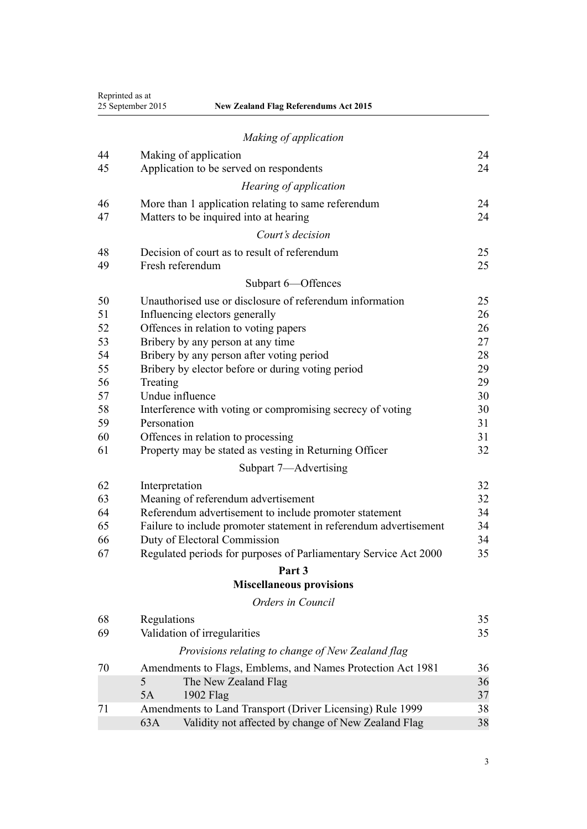|    | Reprinted as at<br>25 September 2015<br><b>New Zealand Flag Referendums Act 2015</b> |    |
|----|--------------------------------------------------------------------------------------|----|
|    | Making of application                                                                |    |
| 44 | Making of application                                                                | 24 |
| 45 | Application to be served on respondents                                              | 24 |
|    | Hearing of application                                                               |    |
| 46 | More than 1 application relating to same referendum                                  | 24 |
| 47 | Matters to be inquired into at hearing                                               | 24 |
|    | Court's decision                                                                     |    |
| 48 | Decision of court as to result of referendum                                         | 25 |
| 49 | Fresh referendum                                                                     | 25 |
|    | Subpart 6-Offences                                                                   |    |
| 50 | Unauthorised use or disclosure of referendum information                             | 25 |
| 51 | Influencing electors generally                                                       | 26 |
| 52 | Offences in relation to voting papers                                                | 26 |
| 53 | Bribery by any person at any time                                                    | 27 |
| 54 | Bribery by any person after voting period                                            | 28 |
| 55 | Bribery by elector before or during voting period                                    | 29 |
| 56 | Treating                                                                             | 29 |
| 57 | Undue influence                                                                      | 30 |
| 58 | Interference with voting or compromising secrecy of voting                           | 30 |
| 59 | Personation                                                                          | 31 |
| 60 | Offences in relation to processing                                                   | 31 |
| 61 | Property may be stated as vesting in Returning Officer                               | 32 |
|    | Subpart 7-Advertising                                                                |    |
| 62 | Interpretation                                                                       | 32 |
| 63 | Meaning of referendum advertisement                                                  | 32 |
| 64 | Referendum advertisement to include promoter statement                               | 34 |
| 65 | Failure to include promoter statement in referendum advertisement                    | 34 |
| 66 | Duty of Electoral Commission                                                         | 34 |
| 67 | Regulated periods for purposes of Parliamentary Service Act 2000                     | 35 |
|    | Part 3                                                                               |    |
|    | <b>Miscellaneous provisions</b>                                                      |    |
|    | Orders in Council                                                                    |    |
| 68 | Regulations                                                                          | 35 |
| 69 | Validation of irregularities                                                         | 35 |
|    | Provisions relating to change of New Zealand flag                                    |    |
| 70 | Amendments to Flags, Emblems, and Names Protection Act 1981                          | 36 |
|    | The New Zealand Flag<br>5                                                            | 36 |
|    | 5A<br>1902 Flag                                                                      | 37 |
| 71 | Amendments to Land Transport (Driver Licensing) Rule 1999                            | 38 |
|    | Validity not affected by change of New Zealand Flag<br>63A                           | 38 |
|    |                                                                                      |    |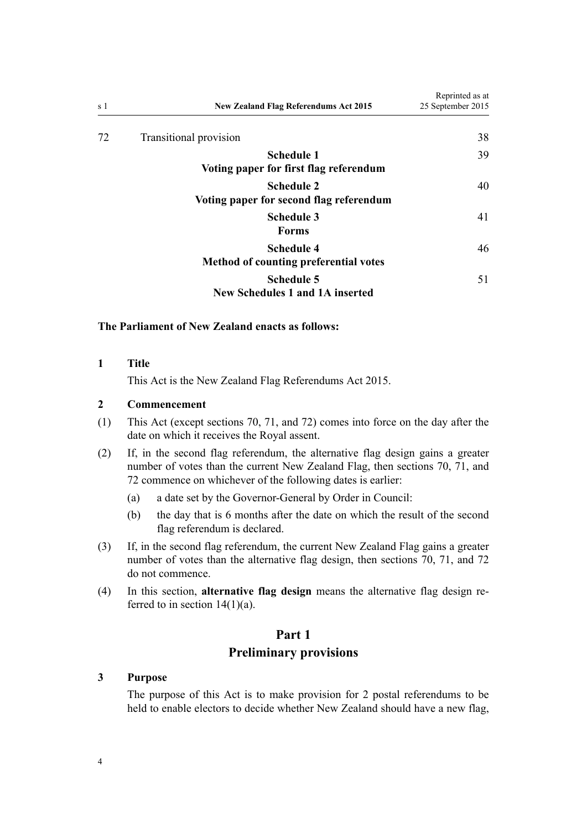<span id="page-3-0"></span>

| s 1 | <b>New Zealand Flag Referendums Act 2015</b>                      | Reprinted as at<br>25 September 2015 |
|-----|-------------------------------------------------------------------|--------------------------------------|
| 72  | Transitional provision                                            | 38                                   |
|     | <b>Schedule 1</b><br>Voting paper for first flag referendum       | 39                                   |
|     | <b>Schedule 2</b><br>Voting paper for second flag referendum      | 40                                   |
|     | <b>Schedule 3</b><br><b>Forms</b>                                 | 41                                   |
|     | <b>Schedule 4</b><br><b>Method of counting preferential votes</b> | 46                                   |
|     | <b>Schedule 5</b><br><b>New Schedules 1 and 1A inserted</b>       | 51                                   |

### **The Parliament of New Zealand enacts as follows:**

**1 Title**

This Act is the New Zealand Flag Referendums Act 2015.

## **2 Commencement**

- (1) This Act (except [sections 70,](#page-35-0) [71,](#page-37-0) and [72](#page-37-0)) comes into force on the day after the date on which it receives the Royal assent.
- (2) If, in the second flag referendum, the alternative flag design gains a greater number of votes than the current New Zealand Flag, then [sections 70,](#page-35-0) [71,](#page-37-0) and [72](#page-37-0) commence on whichever of the following dates is earlier:
	- (a) a date set by the Governor-General by Order in Council:
	- (b) the day that is 6 months after the date on which the result of the second flag referendum is declared.
- (3) If, in the second flag referendum, the current New Zealand Flag gains a greater number of votes than the alternative flag design, then [sections 70,](#page-35-0) [71](#page-37-0), and [72](#page-37-0) do not commence.
- (4) In this section, **alternative flag design** means the alternative flag design referred to in section  $14(1)(a)$ .

## **Part 1**

# **Preliminary provisions**

## **3 Purpose**

The purpose of this Act is to make provision for 2 postal referendums to be held to enable electors to decide whether New Zealand should have a new flag,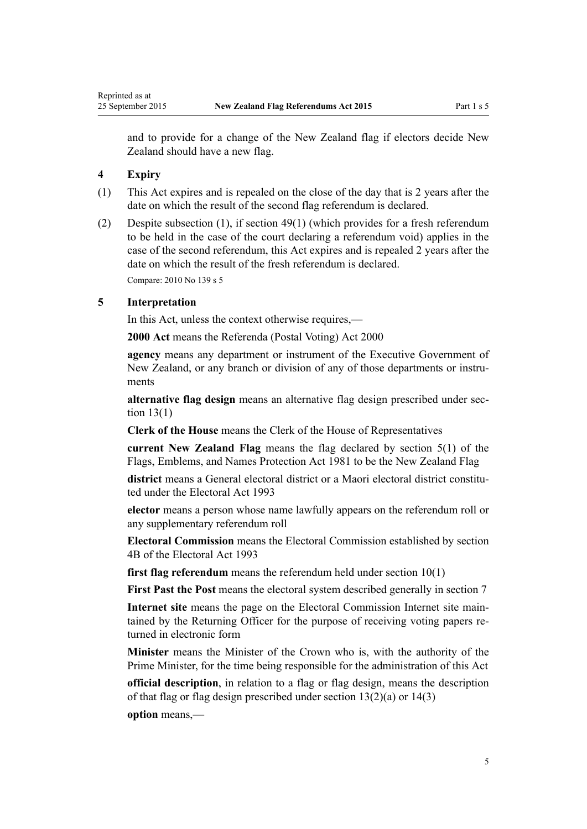<span id="page-4-0"></span>and to provide for a change of the New Zealand flag if electors decide New Zealand should have a new flag.

## **4 Expiry**

- (1) This Act expires and is repealed on the close of the day that is 2 years after the date on which the result of the second flag referendum is declared.
- (2) Despite subsection (1), if [section 49\(1\)](#page-24-0) (which provides for a fresh referendum to be held in the case of the court declaring a referendum void) applies in the case of the second referendum, this Act expires and is repealed 2 years after the date on which the result of the fresh referendum is declared. Compare: 2010 No 139 [s 5](http://prd-lgnz-nlb.prd.pco.net.nz/pdflink.aspx?id=DLM2833520)

#### **5 Interpretation**

In this Act, unless the context otherwise requires,—

**2000 Act** means the [Referenda \(Postal Voting\) Act 2000](http://prd-lgnz-nlb.prd.pco.net.nz/pdflink.aspx?id=DLM73880)

**agency** means any department or instrument of the Executive Government of New Zealand, or any branch or division of any of those departments or instruments

**alternative flag design** means an alternative flag design prescribed under [sec](#page-8-0)[tion 13\(1\)](#page-8-0)

**Clerk of the House** means the Clerk of the House of Representatives

**current New Zealand Flag** means the flag declared by [section 5\(1\)](http://prd-lgnz-nlb.prd.pco.net.nz/pdflink.aspx?id=DLM52200) of the Flags, Emblems, and Names Protection Act 1981 to be the New Zealand Flag

**district** means a General electoral district or a Maori electoral district constituted under the [Electoral Act 1993](http://prd-lgnz-nlb.prd.pco.net.nz/pdflink.aspx?id=DLM307518)

**elector** means a person whose name lawfully appears on the referendum roll or any supplementary referendum roll

**Electoral Commission** means the Electoral Commission established by [section](http://prd-lgnz-nlb.prd.pco.net.nz/pdflink.aspx?id=DLM2997501) [4B](http://prd-lgnz-nlb.prd.pco.net.nz/pdflink.aspx?id=DLM2997501) of the Electoral Act 1993

**first flag referendum** means the referendum held under [section 10\(1\)](#page-7-0)

**First Past the Post** means the electoral system described generally in [section 7](#page-6-0)

**Internet site** means the page on the Electoral Commission Internet site maintained by the Returning Officer for the purpose of receiving voting papers returned in electronic form

**Minister** means the Minister of the Crown who is, with the authority of the Prime Minister, for the time being responsible for the administration of this Act

**official description**, in relation to a flag or flag design, means the description of that flag or flag design prescribed under [section 13\(2\)\(a\)](#page-8-0) or [14\(3\)](#page-8-0)

**option** means,—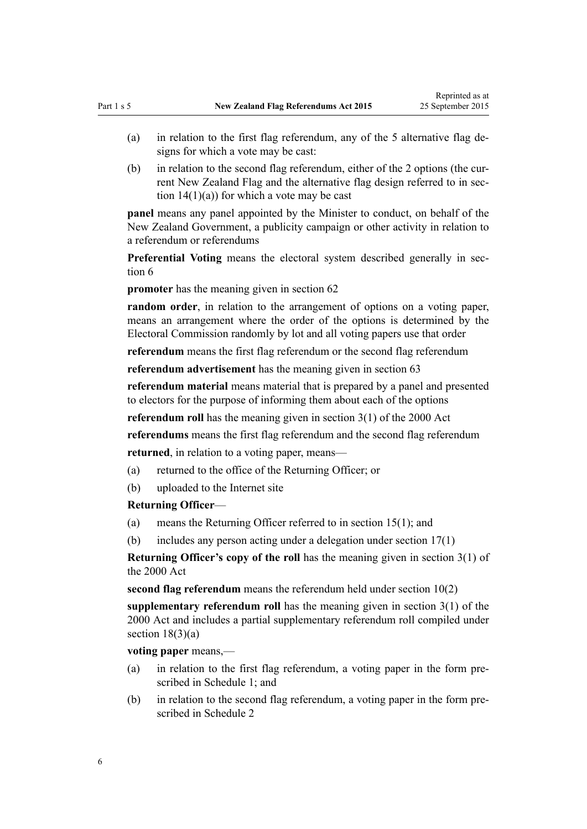- (a) in relation to the first flag referendum, any of the 5 alternative flag designs for which a vote may be cast:
- (b) in relation to the second flag referendum, either of the 2 options (the current New Zealand Flag and the alternative flag design referred to in [sec](#page-8-0)tion  $14(1)(a)$  for which a vote may be cast

**panel** means any panel appointed by the Minister to conduct, on behalf of the New Zealand Government, a publicity campaign or other activity in relation to a referendum or referendums

**Preferential Voting** means the electoral system described generally in [sec](#page-6-0)[tion 6](#page-6-0)

**promoter** has the meaning given in [section 62](#page-31-0)

**random order**, in relation to the arrangement of options on a voting paper, means an arrangement where the order of the options is determined by the Electoral Commission randomly by lot and all voting papers use that order

**referendum** means the first flag referendum or the second flag referendum

**referendum advertisement** has the meaning given in [section 63](#page-31-0)

**referendum material** means material that is prepared by a panel and presented to electors for the purpose of informing them about each of the options

**referendum roll** has the meaning given in [section 3\(1\)](http://prd-lgnz-nlb.prd.pco.net.nz/pdflink.aspx?id=DLM73887) of the 2000 Act

**referendums** means the first flag referendum and the second flag referendum **returned**, in relation to a voting paper, means—

(a) returned to the office of the Returning Officer; or

(b) uploaded to the Internet site

#### **Returning Officer**—

- (a) means the Returning Officer referred to in [section 15\(1\)](#page-9-0); and
- (b) includes any person acting under a delegation under [section 17\(1\)](#page-9-0)

**Returning Officer's copy of the roll** has the meaning given in [section 3\(1\)](http://prd-lgnz-nlb.prd.pco.net.nz/pdflink.aspx?id=DLM73887) of the 2000 Act

**second flag referendum** means the referendum held under [section 10\(2\)](#page-7-0)

**supplementary referendum roll** has the meaning given in [section 3\(1\)](http://prd-lgnz-nlb.prd.pco.net.nz/pdflink.aspx?id=DLM73887) of the 2000 Act and includes a partial supplementary referendum roll compiled under section  $18(3)(a)$ 

**voting paper** means,—

- (a) in relation to the first flag referendum, a voting paper in the form prescribed in [Schedule 1;](#page-38-0) and
- (b) in relation to the second flag referendum, a voting paper in the form prescribed in [Schedule 2](#page-39-0)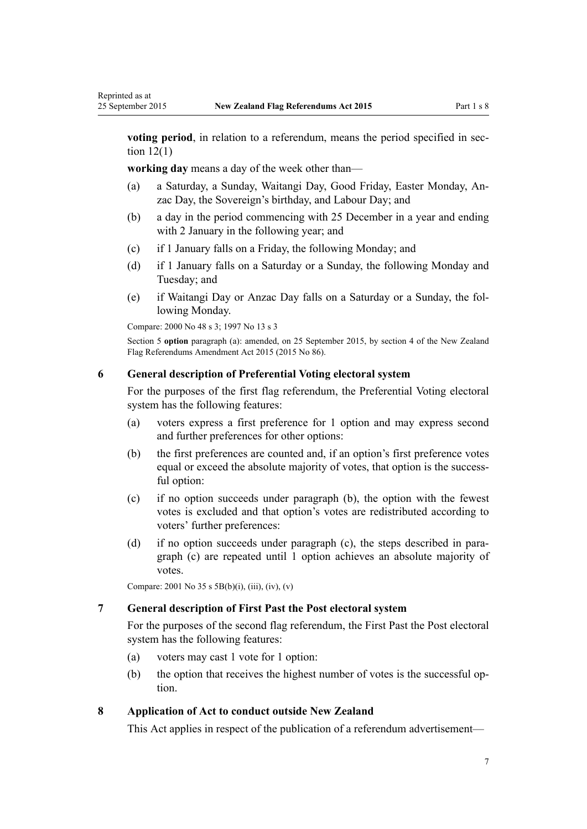**voting period**, in relation to a referendum, means the period specified in [sec](#page-7-0)tion  $12(1)$ 

**working day** means a day of the week other than—

- (a) a Saturday, a Sunday, Waitangi Day, Good Friday, Easter Monday, Anzac Day, the Sovereign's birthday, and Labour Day; and
- (b) a day in the period commencing with 25 December in a year and ending with 2 January in the following year; and
- (c) if 1 January falls on a Friday, the following Monday; and
- (d) if 1 January falls on a Saturday or a Sunday, the following Monday and Tuesday; and
- (e) if Waitangi Day or Anzac Day falls on a Saturday or a Sunday, the following Monday.

Compare: 2000 No 48 [s 3;](http://prd-lgnz-nlb.prd.pco.net.nz/pdflink.aspx?id=DLM73887) 1997 No 13 [s 3](http://prd-lgnz-nlb.prd.pco.net.nz/pdflink.aspx?id=DLM408496)

<span id="page-6-0"></span>Reprinted as at

Section 5 **option** paragraph (a): amended, on 25 September 2015, by [section 4](http://prd-lgnz-nlb.prd.pco.net.nz/pdflink.aspx?id=DLM6601812) of the New Zealand Flag Referendums Amendment Act 2015 (2015 No 86).

## **6 General description of Preferential Voting electoral system**

For the purposes of the first flag referendum, the Preferential Voting electoral system has the following features:

- (a) voters express a first preference for 1 option and may express second and further preferences for other options:
- (b) the first preferences are counted and, if an option's first preference votes equal or exceed the absolute majority of votes, that option is the successful option:
- (c) if no option succeeds under paragraph (b), the option with the fewest votes is excluded and that option's votes are redistributed according to voters' further preferences:
- (d) if no option succeeds under paragraph (c), the steps described in paragraph (c) are repeated until 1 option achieves an absolute majority of votes.

Compare: 2001 No 35 [s 5B\(b\)\(i\), \(iii\), \(iv\), \(v\)](http://prd-lgnz-nlb.prd.pco.net.nz/pdflink.aspx?id=DLM93435)

## **7 General description of First Past the Post electoral system**

For the purposes of the second flag referendum, the First Past the Post electoral system has the following features:

- (a) voters may cast 1 vote for 1 option:
- (b) the option that receives the highest number of votes is the successful option.

## **8 Application of Act to conduct outside New Zealand**

This Act applies in respect of the publication of a referendum advertisement—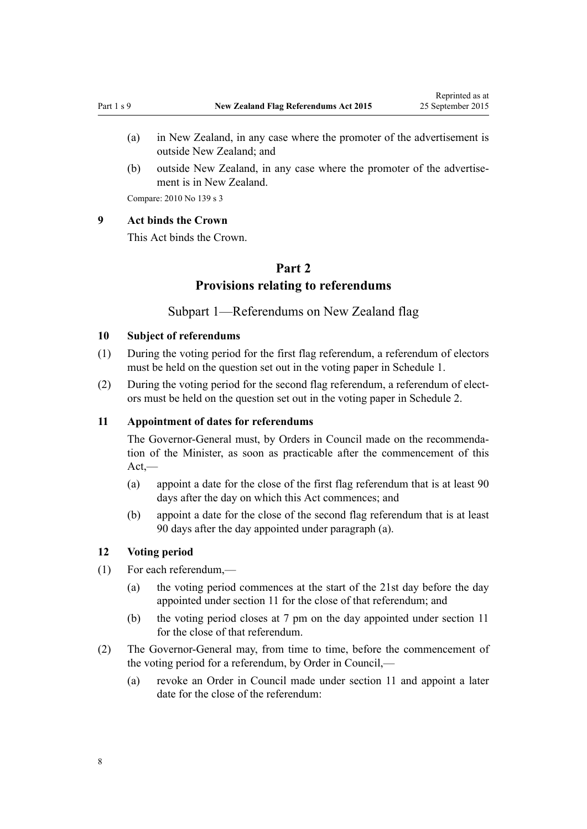- <span id="page-7-0"></span>(a) in New Zealand, in any case where the promoter of the advertisement is outside New Zealand; and
- (b) outside New Zealand, in any case where the promoter of the advertisement is in New Zealand.

Compare: 2010 No 139 [s 3](http://prd-lgnz-nlb.prd.pco.net.nz/pdflink.aspx?id=DLM3382219)

#### **9 Act binds the Crown**

This Act binds the Crown.

# **Part 2 Provisions relating to referendums**

## Subpart 1—Referendums on New Zealand flag

#### **10 Subject of referendums**

- (1) During the voting period for the first flag referendum, a referendum of electors must be held on the question set out in the voting paper in [Schedule 1](#page-38-0).
- (2) During the voting period for the second flag referendum, a referendum of electors must be held on the question set out in the voting paper in [Schedule 2](#page-39-0).

#### **11 Appointment of dates for referendums**

The Governor-General must, by Orders in Council made on the recommendation of the Minister, as soon as practicable after the commencement of this  $Act,$ —

- (a) appoint a date for the close of the first flag referendum that is at least 90 days after the day on which this Act commences; and
- (b) appoint a date for the close of the second flag referendum that is at least 90 days after the day appointed under paragraph (a).

### **12 Voting period**

- (1) For each referendum,—
	- (a) the voting period commences at the start of the 21st day before the day appointed under section 11 for the close of that referendum; and
	- (b) the voting period closes at 7 pm on the day appointed under section 11 for the close of that referendum.
- (2) The Governor-General may, from time to time, before the commencement of the voting period for a referendum, by Order in Council,—
	- (a) revoke an Order in Council made under section 11 and appoint a later date for the close of the referendum: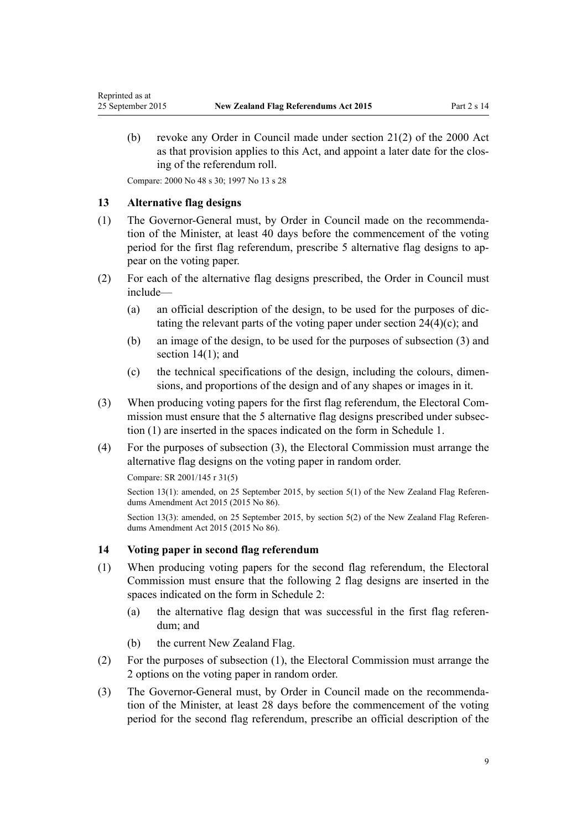(b) revoke any Order in Council made under [section 21\(2\)](http://prd-lgnz-nlb.prd.pco.net.nz/pdflink.aspx?id=DLM74591) of the 2000 Act as that provision applies to this Act, and appoint a later date for the closing of the referendum roll.

Compare: 2000 No 48 [s 30](http://prd-lgnz-nlb.prd.pco.net.nz/pdflink.aspx?id=DLM74603); 1997 No 13 [s 28](http://prd-lgnz-nlb.prd.pco.net.nz/pdflink.aspx?id=DLM408677)

#### **13 Alternative flag designs**

<span id="page-8-0"></span>Reprinted as at

- (1) The Governor-General must, by Order in Council made on the recommendation of the Minister, at least 40 days before the commencement of the voting period for the first flag referendum, prescribe 5 alternative flag designs to appear on the voting paper.
- (2) For each of the alternative flag designs prescribed, the Order in Council must include—
	- (a) an official description of the design, to be used for the purposes of dictating the relevant parts of the voting paper under section  $24(4)(c)$ ; and
	- (b) an image of the design, to be used for the purposes of subsection (3) and section  $14(1)$ ; and
	- (c) the technical specifications of the design, including the colours, dimensions, and proportions of the design and of any shapes or images in it.
- (3) When producing voting papers for the first flag referendum, the Electoral Commission must ensure that the 5 alternative flag designs prescribed under subsection (1) are inserted in the spaces indicated on the form in [Schedule 1](#page-38-0).
- (4) For the purposes of subsection (3), the Electoral Commission must arrange the alternative flag designs on the voting paper in random order.

```
Compare: SR 2001/145 r 31(5)
```
Section 13(1): amended, on 25 September 2015, by [section 5\(1\)](http://prd-lgnz-nlb.prd.pco.net.nz/pdflink.aspx?id=DLM6601814) of the New Zealand Flag Referendums Amendment Act 2015 (2015 No 86).

Section 13(3): amended, on 25 September 2015, by [section 5\(2\)](http://prd-lgnz-nlb.prd.pco.net.nz/pdflink.aspx?id=DLM6601814) of the New Zealand Flag Referendums Amendment Act 2015 (2015 No 86).

### **14 Voting paper in second flag referendum**

- (1) When producing voting papers for the second flag referendum, the Electoral Commission must ensure that the following 2 flag designs are inserted in the spaces indicated on the form in [Schedule 2](#page-39-0):
	- (a) the alternative flag design that was successful in the first flag referendum; and
	- (b) the current New Zealand Flag.
- (2) For the purposes of subsection (1), the Electoral Commission must arrange the 2 options on the voting paper in random order.
- (3) The Governor-General must, by Order in Council made on the recommendation of the Minister, at least 28 days before the commencement of the voting period for the second flag referendum, prescribe an official description of the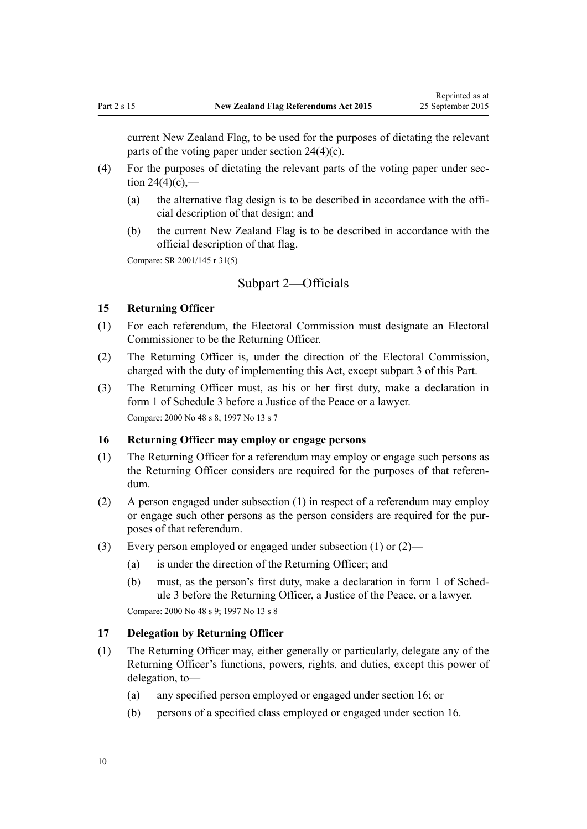<span id="page-9-0"></span>current New Zealand Flag, to be used for the purposes of dictating the relevant parts of the voting paper under [section 24\(4\)\(c\).](#page-12-0)

- (4) For the purposes of dictating the relevant parts of the voting paper under [sec](#page-12-0)tion  $24(4)(c)$ ,—
	- (a) the alternative flag design is to be described in accordance with the official description of that design; and
	- (b) the current New Zealand Flag is to be described in accordance with the official description of that flag.

Compare: SR 2001/145 [r 31\(5\)](http://prd-lgnz-nlb.prd.pco.net.nz/pdflink.aspx?id=DLM55189)

## Subpart 2—Officials

## **15 Returning Officer**

- (1) For each referendum, the Electoral Commission must designate an Electoral Commissioner to be the Returning Officer.
- (2) The Returning Officer is, under the direction of the Electoral Commission, charged with the duty of implementing this Act, except [subpart 3](#page-10-0) of this Part.
- (3) The Returning Officer must, as his or her first duty, make a declaration in [form 1](#page-40-0) of Schedule 3 before a Justice of the Peace or a lawyer. Compare: 2000 No 48 [s 8;](http://prd-lgnz-nlb.prd.pco.net.nz/pdflink.aspx?id=DLM74573) 1997 No 13 [s 7](http://prd-lgnz-nlb.prd.pco.net.nz/pdflink.aspx?id=DLM408652)

#### **16 Returning Officer may employ or engage persons**

- (1) The Returning Officer for a referendum may employ or engage such persons as the Returning Officer considers are required for the purposes of that referendum.
- (2) A person engaged under subsection (1) in respect of a referendum may employ or engage such other persons as the person considers are required for the purposes of that referendum.
- (3) Every person employed or engaged under subsection (1) or (2)—
	- (a) is under the direction of the Returning Officer; and
	- (b) must, as the person's first duty, make a declaration in [form 1](#page-40-0) of Schedule 3 before the Returning Officer, a Justice of the Peace, or a lawyer.

Compare: 2000 No 48 [s 9;](http://prd-lgnz-nlb.prd.pco.net.nz/pdflink.aspx?id=DLM74574) 1997 No 13 [s 8](http://prd-lgnz-nlb.prd.pco.net.nz/pdflink.aspx?id=DLM408653)

#### **17 Delegation by Returning Officer**

- (1) The Returning Officer may, either generally or particularly, delegate any of the Returning Officer's functions, powers, rights, and duties, except this power of delegation, to—
	- (a) any specified person employed or engaged under section 16; or
	- (b) persons of a specified class employed or engaged under section 16.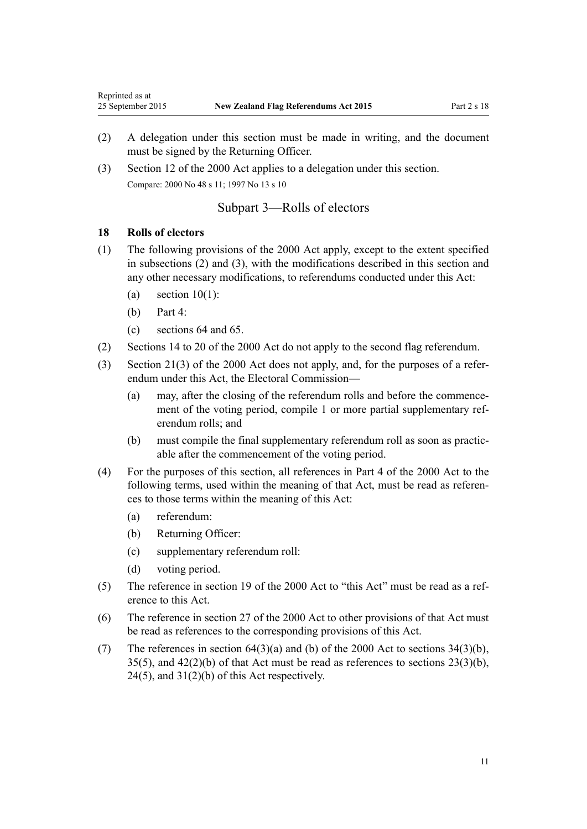- (2) A delegation under this section must be made in writing, and the document must be signed by the Returning Officer.
- (3) [Section 12](http://prd-lgnz-nlb.prd.pco.net.nz/pdflink.aspx?id=DLM74577) of the 2000 Act applies to a delegation under this section. Compare: 2000 No 48 s 11; 1997 No 13 s 10

## Subpart 3—Rolls of electors

### **18 Rolls of electors**

<span id="page-10-0"></span>Reprinted as at

- (1) The following provisions of the [2000 Act](http://prd-lgnz-nlb.prd.pco.net.nz/pdflink.aspx?id=DLM73880) apply, except to the extent specified in subsections (2) and (3), with the modifications described in this section and any other necessary modifications, to referendums conducted under this Act:
	- (a) section  $10(1)$ :
	- (b) [Part 4](http://prd-lgnz-nlb.prd.pco.net.nz/pdflink.aspx?id=DLM74578):
	- (c) [sections 64](http://prd-lgnz-nlb.prd.pco.net.nz/pdflink.aspx?id=DLM74657) and [65](http://prd-lgnz-nlb.prd.pco.net.nz/pdflink.aspx?id=DLM74658).
- (2) [Sections 14 to 20](http://prd-lgnz-nlb.prd.pco.net.nz/pdflink.aspx?id=DLM74582) of the 2000 Act do not apply to the second flag referendum.
- (3) [Section 21\(3\)](http://prd-lgnz-nlb.prd.pco.net.nz/pdflink.aspx?id=DLM74591) of the 2000 Act does not apply, and, for the purposes of a referendum under this Act, the Electoral Commission—
	- (a) may, after the closing of the referendum rolls and before the commencement of the voting period, compile 1 or more partial supplementary referendum rolls; and
	- (b) must compile the final supplementary referendum roll as soon as practicable after the commencement of the voting period.
- (4) For the purposes of this section, all references in [Part 4](http://prd-lgnz-nlb.prd.pco.net.nz/pdflink.aspx?id=DLM74578) of the 2000 Act to the following terms, used within the meaning of that Act, must be read as references to those terms within the meaning of this Act:
	- (a) referendum:
	- (b) Returning Officer:
	- (c) supplementary referendum roll:
	- (d) voting period.
- (5) The reference in [section 19](http://prd-lgnz-nlb.prd.pco.net.nz/pdflink.aspx?id=DLM74587) of the 2000 Act to "this Act" must be read as a reference to this Act.
- (6) The reference in [section 27](http://prd-lgnz-nlb.prd.pco.net.nz/pdflink.aspx?id=DLM74599) of the 2000 Act to other provisions of that Act must be read as references to the corresponding provisions of this Act.
- (7) The references in section  $64(3)(a)$  and (b) of the 2000 Act to sections  $34(3)(b)$ ,  $35(5)$ , and  $42(2)(b)$  of that Act must be read as references to sections  $23(3)(b)$ ,  $24(5)$ , and  $31(2)(b)$  of this Act respectively.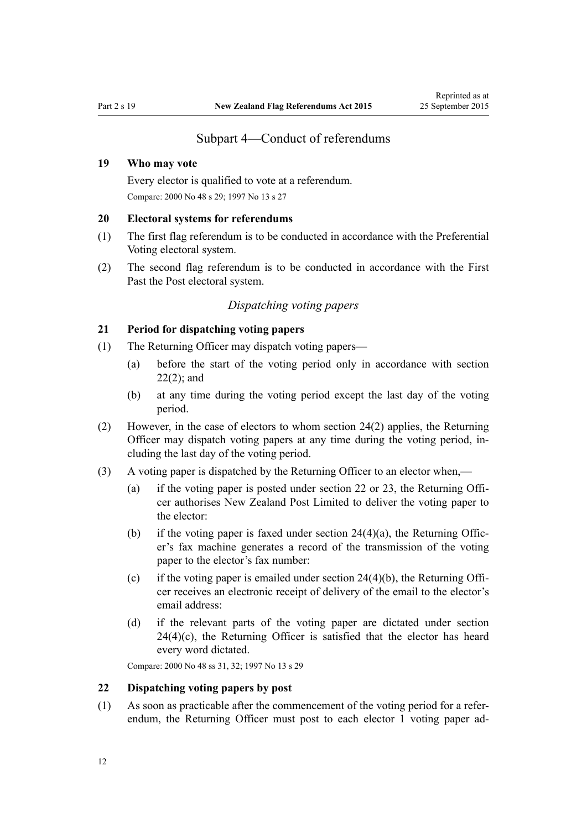## Subpart 4—Conduct of referendums

## <span id="page-11-0"></span>**19 Who may vote**

Every elector is qualified to vote at a referendum. Compare: 2000 No 48 [s 29](http://prd-lgnz-nlb.prd.pco.net.nz/pdflink.aspx?id=DLM74602); 1997 No 13 [s 27](http://prd-lgnz-nlb.prd.pco.net.nz/pdflink.aspx?id=DLM408676)

#### **20 Electoral systems for referendums**

- (1) The first flag referendum is to be conducted in accordance with the Preferential Voting electoral system.
- (2) The second flag referendum is to be conducted in accordance with the First Past the Post electoral system.

## *Dispatching voting papers*

## **21 Period for dispatching voting papers**

- (1) The Returning Officer may dispatch voting papers—
	- (a) before the start of the voting period only in accordance with section 22(2); and
	- (b) at any time during the voting period except the last day of the voting period.
- (2) However, in the case of electors to whom [section 24\(2\)](#page-12-0) applies, the Returning Officer may dispatch voting papers at any time during the voting period, including the last day of the voting period.
- (3) A voting paper is dispatched by the Returning Officer to an elector when,—
	- (a) if the voting paper is posted under section 22 or [23,](#page-12-0) the Returning Officer authorises New Zealand Post Limited to deliver the voting paper to the elector:
	- (b) if the voting paper is faxed under section  $24(4)(a)$ , the Returning Officer's fax machine generates a record of the transmission of the voting paper to the elector's fax number:
	- (c) if the voting paper is emailed under section  $24(4)(b)$ , the Returning Officer receives an electronic receipt of delivery of the email to the elector's email address:
	- (d) if the relevant parts of the voting paper are dictated under [section](#page-12-0)  $24(4)(c)$ , the Returning Officer is satisfied that the elector has heard every word dictated.

Compare: 2000 No 48 [ss 31,](http://prd-lgnz-nlb.prd.pco.net.nz/pdflink.aspx?id=DLM74605) [32](http://prd-lgnz-nlb.prd.pco.net.nz/pdflink.aspx?id=DLM74606); 1997 No 13 [s 29](http://prd-lgnz-nlb.prd.pco.net.nz/pdflink.aspx?id=DLM408679)

#### **22 Dispatching voting papers by post**

(1) As soon as practicable after the commencement of the voting period for a referendum, the Returning Officer must post to each elector 1 voting paper ad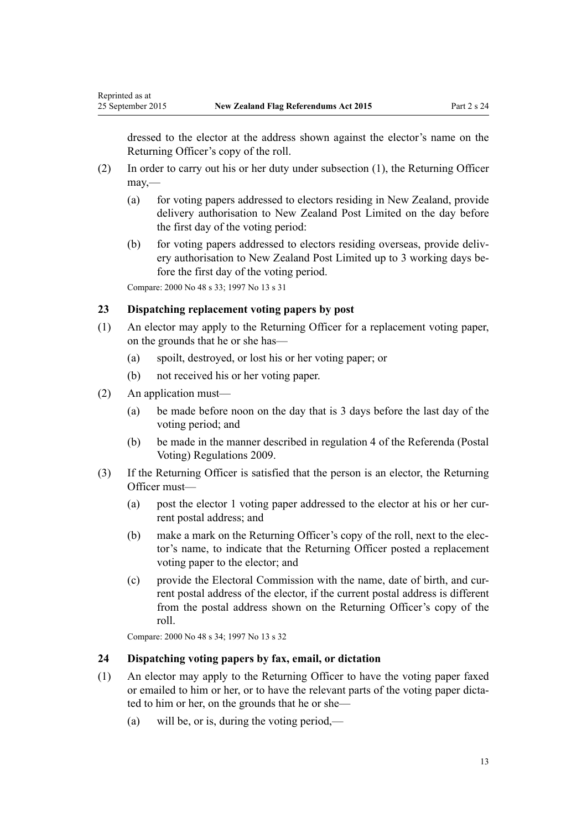dressed to the elector at the address shown against the elector's name on the Returning Officer's copy of the roll.

- (2) In order to carry out his or her duty under subsection (1), the Returning Officer may,—
	- (a) for voting papers addressed to electors residing in New Zealand, provide delivery authorisation to New Zealand Post Limited on the day before the first day of the voting period:
	- (b) for voting papers addressed to electors residing overseas, provide delivery authorisation to New Zealand Post Limited up to 3 working days before the first day of the voting period.

Compare: 2000 No 48 [s 33](http://prd-lgnz-nlb.prd.pco.net.nz/pdflink.aspx?id=DLM74607); 1997 No 13 [s 31](http://prd-lgnz-nlb.prd.pco.net.nz/pdflink.aspx?id=DLM408681)

## **23 Dispatching replacement voting papers by post**

- (1) An elector may apply to the Returning Officer for a replacement voting paper, on the grounds that he or she has—
	- (a) spoilt, destroyed, or lost his or her voting paper; or
	- (b) not received his or her voting paper.
- (2) An application must—

<span id="page-12-0"></span>Reprinted as at

- (a) be made before noon on the day that is 3 days before the last day of the voting period; and
- (b) be made in the manner described in [regulation 4](http://prd-lgnz-nlb.prd.pco.net.nz/pdflink.aspx?id=DLM2094332) of the Referenda (Postal Voting) Regulations 2009.
- (3) If the Returning Officer is satisfied that the person is an elector, the Returning Officer must—
	- (a) post the elector 1 voting paper addressed to the elector at his or her current postal address; and
	- (b) make a mark on the Returning Officer's copy of the roll, next to the elector's name, to indicate that the Returning Officer posted a replacement voting paper to the elector; and
	- (c) provide the Electoral Commission with the name, date of birth, and current postal address of the elector, if the current postal address is different from the postal address shown on the Returning Officer's copy of the roll.

Compare: 2000 No 48 [s 34](http://prd-lgnz-nlb.prd.pco.net.nz/pdflink.aspx?id=DLM74608); 1997 No 13 [s 32](http://prd-lgnz-nlb.prd.pco.net.nz/pdflink.aspx?id=DLM408682)

## **24 Dispatching voting papers by fax, email, or dictation**

- (1) An elector may apply to the Returning Officer to have the voting paper faxed or emailed to him or her, or to have the relevant parts of the voting paper dictated to him or her, on the grounds that he or she—
	- (a) will be, or is, during the voting period,—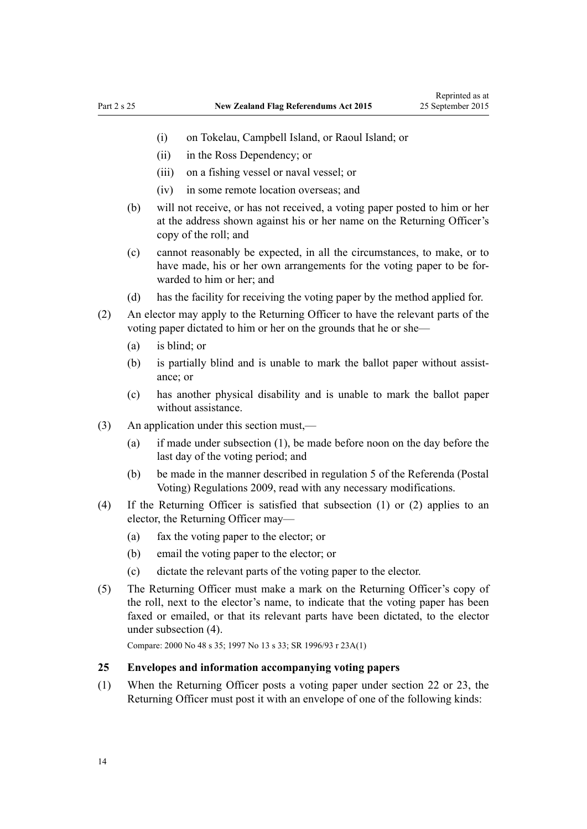- <span id="page-13-0"></span>(i) on Tokelau, Campbell Island, or Raoul Island; or
- (ii) in the Ross Dependency; or
- (iii) on a fishing vessel or naval vessel; or
- (iv) in some remote location overseas; and
- (b) will not receive, or has not received, a voting paper posted to him or her at the address shown against his or her name on the Returning Officer's copy of the roll; and
- (c) cannot reasonably be expected, in all the circumstances, to make, or to have made, his or her own arrangements for the voting paper to be forwarded to him or her; and
- (d) has the facility for receiving the voting paper by the method applied for.
- (2) An elector may apply to the Returning Officer to have the relevant parts of the voting paper dictated to him or her on the grounds that he or she—
	- (a) is blind; or
	- (b) is partially blind and is unable to mark the ballot paper without assistance; or
	- (c) has another physical disability and is unable to mark the ballot paper without assistance.
- (3) An application under this section must,—
	- (a) if made under subsection (1), be made before noon on the day before the last day of the voting period; and
	- (b) be made in the manner described in [regulation 5](http://prd-lgnz-nlb.prd.pco.net.nz/pdflink.aspx?id=DLM2094333) of the Referenda (Postal Voting) Regulations 2009, read with any necessary modifications.
- (4) If the Returning Officer is satisfied that subsection (1) or (2) applies to an elector, the Returning Officer may—
	- (a) fax the voting paper to the elector; or
	- (b) email the voting paper to the elector; or
	- (c) dictate the relevant parts of the voting paper to the elector.
- (5) The Returning Officer must make a mark on the Returning Officer's copy of the roll, next to the elector's name, to indicate that the voting paper has been faxed or emailed, or that its relevant parts have been dictated, to the elector under subsection (4).

Compare: 2000 No 48 [s 35](http://prd-lgnz-nlb.prd.pco.net.nz/pdflink.aspx?id=DLM74609); 1997 No 13 [s 33;](http://prd-lgnz-nlb.prd.pco.net.nz/pdflink.aspx?id=DLM408683) SR 1996/93 [r 23A\(1\)](http://prd-lgnz-nlb.prd.pco.net.nz/pdflink.aspx?id=DLM6141803)

## **25 Envelopes and information accompanying voting papers**

(1) When the Returning Officer posts a voting paper under [section 22](#page-11-0) or [23,](#page-12-0) the Returning Officer must post it with an envelope of one of the following kinds: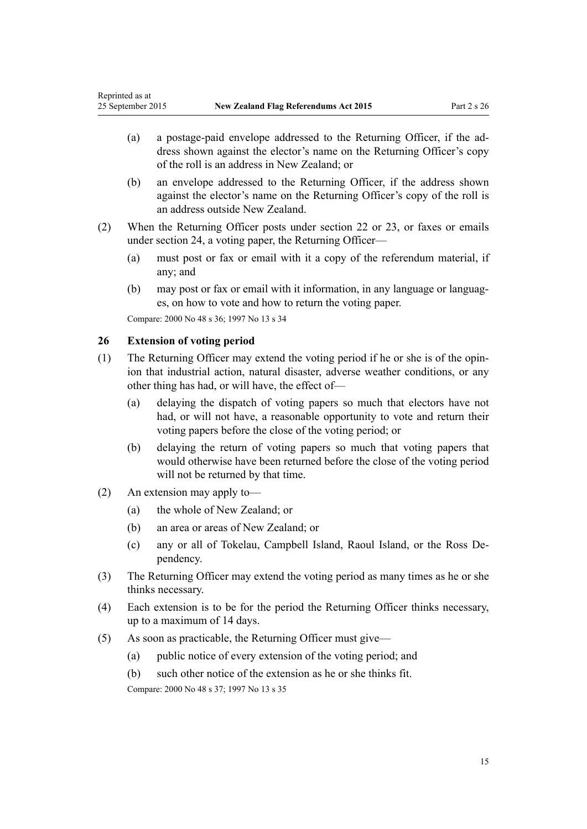- <span id="page-14-0"></span>(a) a postage-paid envelope addressed to the Returning Officer, if the address shown against the elector's name on the Returning Officer's copy of the roll is an address in New Zealand; or
- (b) an envelope addressed to the Returning Officer, if the address shown against the elector's name on the Returning Officer's copy of the roll is an address outside New Zealand.
- (2) When the Returning Officer posts under [section 22](#page-11-0) or [23,](#page-12-0) or faxes or emails under [section 24](#page-12-0), a voting paper, the Returning Officer—
	- (a) must post or fax or email with it a copy of the referendum material, if any; and
	- (b) may post or fax or email with it information, in any language or languages, on how to vote and how to return the voting paper.

Compare: 2000 No 48 [s 36](http://prd-lgnz-nlb.prd.pco.net.nz/pdflink.aspx?id=DLM74610); 1997 No 13 [s 34](http://prd-lgnz-nlb.prd.pco.net.nz/pdflink.aspx?id=DLM408684)

### **26 Extension of voting period**

- (1) The Returning Officer may extend the voting period if he or she is of the opinion that industrial action, natural disaster, adverse weather conditions, or any other thing has had, or will have, the effect of—
	- (a) delaying the dispatch of voting papers so much that electors have not had, or will not have, a reasonable opportunity to vote and return their voting papers before the close of the voting period; or
	- (b) delaying the return of voting papers so much that voting papers that would otherwise have been returned before the close of the voting period will not be returned by that time.
- (2) An extension may apply to—
	- (a) the whole of New Zealand; or
	- (b) an area or areas of New Zealand; or
	- (c) any or all of Tokelau, Campbell Island, Raoul Island, or the Ross Dependency.
- (3) The Returning Officer may extend the voting period as many times as he or she thinks necessary.
- (4) Each extension is to be for the period the Returning Officer thinks necessary, up to a maximum of 14 days.
- (5) As soon as practicable, the Returning Officer must give—
	- (a) public notice of every extension of the voting period; and
	- (b) such other notice of the extension as he or she thinks fit.

Compare: 2000 No 48 [s 37](http://prd-lgnz-nlb.prd.pco.net.nz/pdflink.aspx?id=DLM74611); 1997 No 13 [s 35](http://prd-lgnz-nlb.prd.pco.net.nz/pdflink.aspx?id=DLM408685)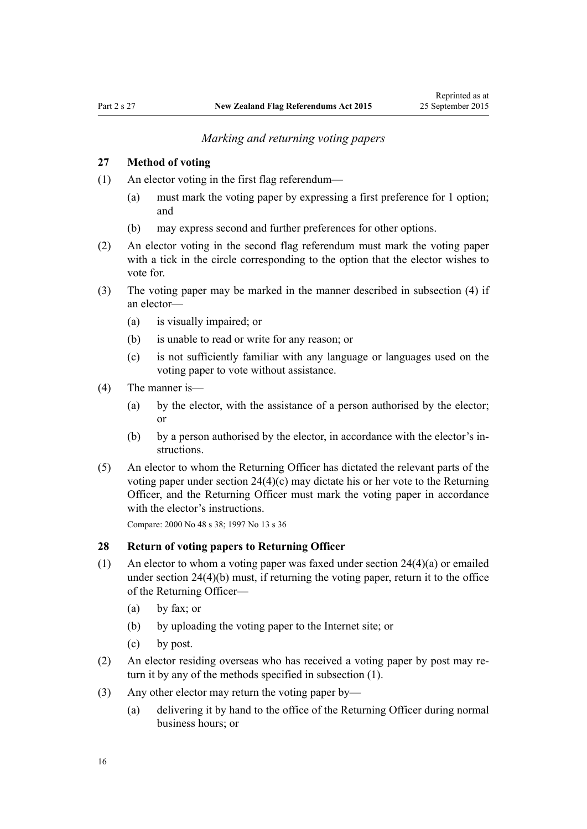#### *Marking and returning voting papers*

## <span id="page-15-0"></span>**27 Method of voting**

(1) An elector voting in the first flag referendum—

- (a) must mark the voting paper by expressing a first preference for 1 option; and
- (b) may express second and further preferences for other options.
- (2) An elector voting in the second flag referendum must mark the voting paper with a tick in the circle corresponding to the option that the elector wishes to vote for.
- (3) The voting paper may be marked in the manner described in subsection (4) if an elector—
	- (a) is visually impaired; or
	- (b) is unable to read or write for any reason; or
	- (c) is not sufficiently familiar with any language or languages used on the voting paper to vote without assistance.
- (4) The manner is—
	- (a) by the elector, with the assistance of a person authorised by the elector; or
	- (b) by a person authorised by the elector, in accordance with the elector's instructions.
- (5) An elector to whom the Returning Officer has dictated the relevant parts of the voting paper under [section 24\(4\)\(c\)](#page-12-0) may dictate his or her vote to the Returning Officer, and the Returning Officer must mark the voting paper in accordance with the elector's instructions.

Compare: 2000 No 48 [s 38](http://prd-lgnz-nlb.prd.pco.net.nz/pdflink.aspx?id=DLM74613); 1997 No 13 [s 36](http://prd-lgnz-nlb.prd.pco.net.nz/pdflink.aspx?id=DLM408687)

### **28 Return of voting papers to Returning Officer**

- (1) An elector to whom a voting paper was faxed under section  $24(4)(a)$  or emailed under section 24(4)(b) must, if returning the voting paper, return it to the office of the Returning Officer—
	- (a) by fax; or
	- (b) by uploading the voting paper to the Internet site; or
	- (c) by post.
- (2) An elector residing overseas who has received a voting paper by post may return it by any of the methods specified in subsection (1).
- (3) Any other elector may return the voting paper by—
	- (a) delivering it by hand to the office of the Returning Officer during normal business hours; or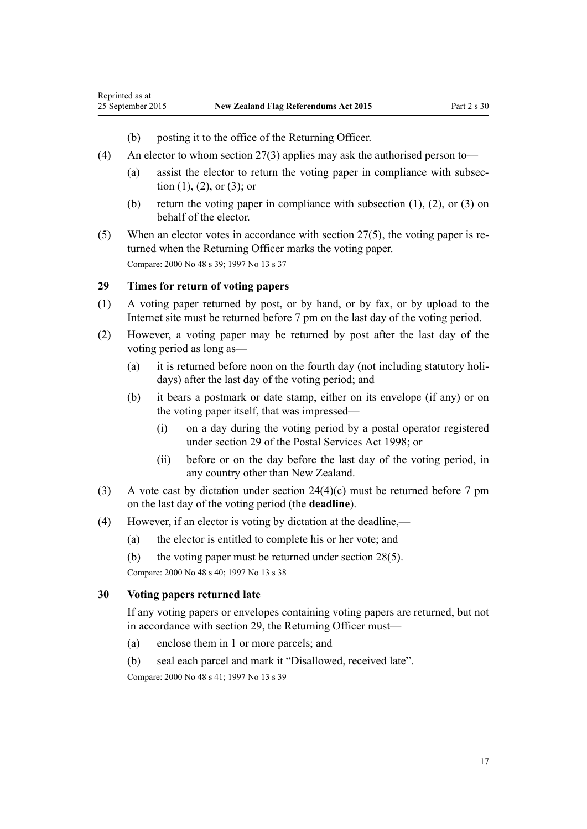- (b) posting it to the office of the Returning Officer.
- (4) An elector to whom [section 27\(3\)](#page-15-0) applies may ask the authorised person to—
	- (a) assist the elector to return the voting paper in compliance with subsection  $(1)$ ,  $(2)$ , or  $(3)$ ; or
	- (b) return the voting paper in compliance with subsection (1), (2), or (3) on behalf of the elector.
- (5) When an elector votes in accordance with [section 27\(5\),](#page-15-0) the voting paper is returned when the Returning Officer marks the voting paper. Compare: 2000 No 48 [s 39](http://prd-lgnz-nlb.prd.pco.net.nz/pdflink.aspx?id=DLM74614); 1997 No 13 [s 37](http://prd-lgnz-nlb.prd.pco.net.nz/pdflink.aspx?id=DLM408688)

## **29 Times for return of voting papers**

<span id="page-16-0"></span>Reprinted as at

- (1) A voting paper returned by post, or by hand, or by fax, or by upload to the Internet site must be returned before 7 pm on the last day of the voting period.
- (2) However, a voting paper may be returned by post after the last day of the voting period as long as—
	- (a) it is returned before noon on the fourth day (not including statutory holidays) after the last day of the voting period; and
	- (b) it bears a postmark or date stamp, either on its envelope (if any) or on the voting paper itself, that was impressed—
		- (i) on a day during the voting period by a postal operator registered under [section 29](http://prd-lgnz-nlb.prd.pco.net.nz/pdflink.aspx?id=DLM423737) of the Postal Services Act 1998; or
		- (ii) before or on the day before the last day of the voting period, in any country other than New Zealand.
- (3) A vote cast by dictation under section  $24(4)(c)$  must be returned before 7 pm on the last day of the voting period (the **deadline**).
- (4) However, if an elector is voting by dictation at the deadline,—
	- (a) the elector is entitled to complete his or her vote; and
	- (b) the voting paper must be returned under [section 28\(5\)](#page-15-0).

Compare: 2000 No 48 [s 40](http://prd-lgnz-nlb.prd.pco.net.nz/pdflink.aspx?id=DLM74615); 1997 No 13 [s 38](http://prd-lgnz-nlb.prd.pco.net.nz/pdflink.aspx?id=DLM408689)

## **30 Voting papers returned late**

If any voting papers or envelopes containing voting papers are returned, but not in accordance with section 29, the Returning Officer must—

- (a) enclose them in 1 or more parcels; and
- (b) seal each parcel and mark it "Disallowed, received late".

Compare: 2000 No 48 [s 41](http://prd-lgnz-nlb.prd.pco.net.nz/pdflink.aspx?id=DLM74616); 1997 No 13 [s 39](http://prd-lgnz-nlb.prd.pco.net.nz/pdflink.aspx?id=DLM408690)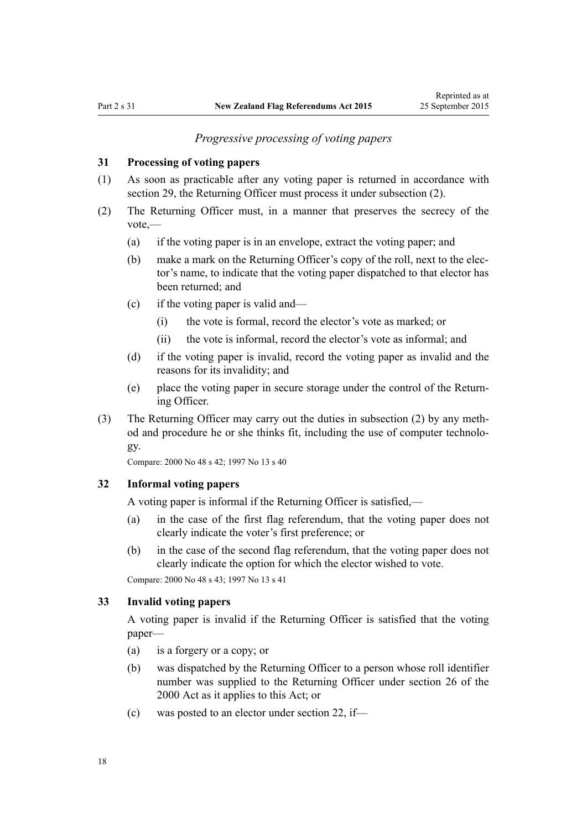## *Progressive processing of voting papers*

## <span id="page-17-0"></span>**31 Processing of voting papers**

- (1) As soon as practicable after any voting paper is returned in accordance with [section 29](#page-16-0), the Returning Officer must process it under subsection (2).
- (2) The Returning Officer must, in a manner that preserves the secrecy of the vote,—
	- (a) if the voting paper is in an envelope, extract the voting paper; and
	- (b) make a mark on the Returning Officer's copy of the roll, next to the elector's name, to indicate that the voting paper dispatched to that elector has been returned; and
	- (c) if the voting paper is valid and—
		- (i) the vote is formal, record the elector's vote as marked; or
		- (ii) the vote is informal, record the elector's vote as informal; and
	- (d) if the voting paper is invalid, record the voting paper as invalid and the reasons for its invalidity; and
	- (e) place the voting paper in secure storage under the control of the Returning Officer.
- (3) The Returning Officer may carry out the duties in subsection (2) by any method and procedure he or she thinks fit, including the use of computer technology.

Compare: 2000 No 48 [s 42](http://prd-lgnz-nlb.prd.pco.net.nz/pdflink.aspx?id=DLM74618); 1997 No 13 [s 40](http://prd-lgnz-nlb.prd.pco.net.nz/pdflink.aspx?id=DLM408692)

### **32 Informal voting papers**

A voting paper is informal if the Returning Officer is satisfied,—

- (a) in the case of the first flag referendum, that the voting paper does not clearly indicate the voter's first preference; or
- (b) in the case of the second flag referendum, that the voting paper does not clearly indicate the option for which the elector wished to vote.

Compare: 2000 No 48 [s 43](http://prd-lgnz-nlb.prd.pco.net.nz/pdflink.aspx?id=DLM74619); 1997 No 13 [s 41](http://prd-lgnz-nlb.prd.pco.net.nz/pdflink.aspx?id=DLM408693)

## **33 Invalid voting papers**

A voting paper is invalid if the Returning Officer is satisfied that the voting paper—

- (a) is a forgery or a copy; or
- (b) was dispatched by the Returning Officer to a person whose roll identifier number was supplied to the Returning Officer under [section 26](http://prd-lgnz-nlb.prd.pco.net.nz/pdflink.aspx?id=DLM74596) of the 2000 Act as it applies to this Act; or
- (c) was posted to an elector under [section 22,](#page-11-0) if—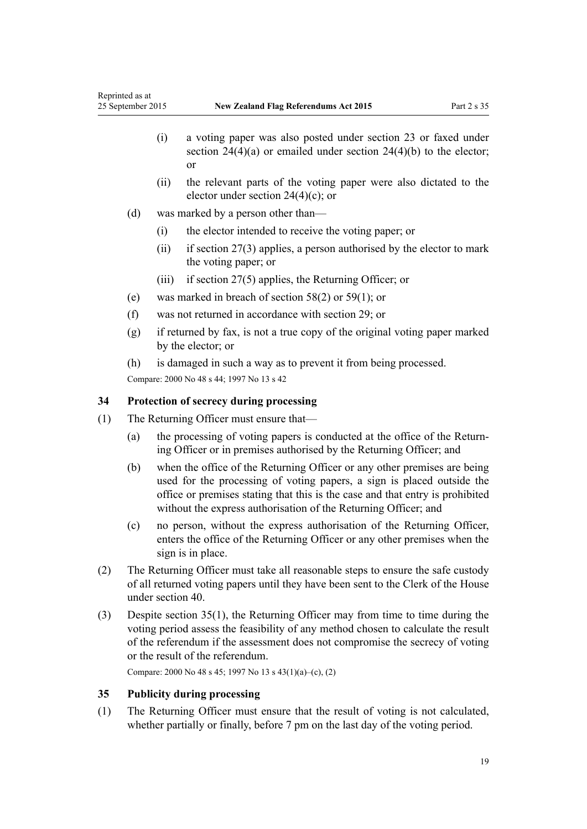- <span id="page-18-0"></span>(i) a voting paper was also posted under [section 23](#page-12-0) or faxed under section  $24(4)(a)$  or emailed under section  $24(4)(b)$  to the elector; or
- (ii) the relevant parts of the voting paper were also dictated to the elector under [section 24\(4\)\(c\);](#page-12-0) or
- (d) was marked by a person other than—
	- (i) the elector intended to receive the voting paper; or
	- (ii) if [section 27\(3\)](#page-15-0) applies, a person authorised by the elector to mark the voting paper; or
	- (iii) if [section 27\(5\)](#page-15-0) applies, the Returning Officer; or
- (e) was marked in breach of [section 58\(2\)](#page-29-0) or [59\(1\);](#page-30-0) or
- (f) was not returned in accordance with [section 29](#page-16-0); or
- (g) if returned by fax, is not a true copy of the original voting paper marked by the elector; or
- (h) is damaged in such a way as to prevent it from being processed.

Compare: 2000 No 48 [s 44](http://prd-lgnz-nlb.prd.pco.net.nz/pdflink.aspx?id=DLM74620); 1997 No 13 [s 42](http://prd-lgnz-nlb.prd.pco.net.nz/pdflink.aspx?id=DLM408694)

### **34 Protection of secrecy during processing**

- (1) The Returning Officer must ensure that—
	- (a) the processing of voting papers is conducted at the office of the Returning Officer or in premises authorised by the Returning Officer; and
	- (b) when the office of the Returning Officer or any other premises are being used for the processing of voting papers, a sign is placed outside the office or premises stating that this is the case and that entry is prohibited without the express authorisation of the Returning Officer; and
	- (c) no person, without the express authorisation of the Returning Officer, enters the office of the Returning Officer or any other premises when the sign is in place.
- (2) The Returning Officer must take all reasonable steps to ensure the safe custody of all returned voting papers until they have been sent to the Clerk of the House under [section 40](#page-21-0).
- (3) Despite section 35(1), the Returning Officer may from time to time during the voting period assess the feasibility of any method chosen to calculate the result of the referendum if the assessment does not compromise the secrecy of voting or the result of the referendum.

Compare: 2000 No 48 [s 45](http://prd-lgnz-nlb.prd.pco.net.nz/pdflink.aspx?id=DLM74621); 1997 No 13 [s 43\(1\)\(a\)–\(c\), \(2\)](http://prd-lgnz-nlb.prd.pco.net.nz/pdflink.aspx?id=DLM408695)

## **35 Publicity during processing**

(1) The Returning Officer must ensure that the result of voting is not calculated, whether partially or finally, before 7 pm on the last day of the voting period.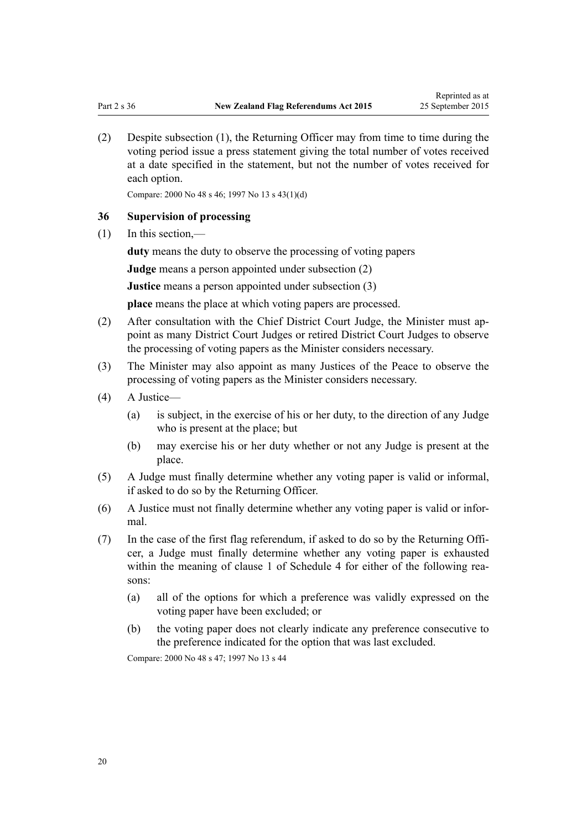<span id="page-19-0"></span>(2) Despite subsection (1), the Returning Officer may from time to time during the voting period issue a press statement giving the total number of votes received at a date specified in the statement, but not the number of votes received for each option.

Compare: 2000 No 48 [s 46](http://prd-lgnz-nlb.prd.pco.net.nz/pdflink.aspx?id=DLM74622); 1997 No 13 [s 43\(1\)\(d\)](http://prd-lgnz-nlb.prd.pco.net.nz/pdflink.aspx?id=DLM408695)

## **36 Supervision of processing**

(1) In this section,—

**duty** means the duty to observe the processing of voting papers

**Judge** means a person appointed under subsection (2)

**Justice** means a person appointed under subsection (3)

**place** means the place at which voting papers are processed.

- (2) After consultation with the Chief District Court Judge, the Minister must appoint as many District Court Judges or retired District Court Judges to observe the processing of voting papers as the Minister considers necessary.
- (3) The Minister may also appoint as many Justices of the Peace to observe the processing of voting papers as the Minister considers necessary.
- (4) A Justice—
	- (a) is subject, in the exercise of his or her duty, to the direction of any Judge who is present at the place; but
	- (b) may exercise his or her duty whether or not any Judge is present at the place.
- (5) A Judge must finally determine whether any voting paper is valid or informal, if asked to do so by the Returning Officer.
- (6) A Justice must not finally determine whether any voting paper is valid or informal.
- (7) In the case of the first flag referendum, if asked to do so by the Returning Officer, a Judge must finally determine whether any voting paper is exhausted within the meaning of [clause 1](#page-45-0) of Schedule 4 for either of the following reasons:
	- (a) all of the options for which a preference was validly expressed on the voting paper have been excluded; or
	- (b) the voting paper does not clearly indicate any preference consecutive to the preference indicated for the option that was last excluded.

Compare: 2000 No 48 [s 47](http://prd-lgnz-nlb.prd.pco.net.nz/pdflink.aspx?id=DLM74623); 1997 No 13 [s 44](http://prd-lgnz-nlb.prd.pco.net.nz/pdflink.aspx?id=DLM408696)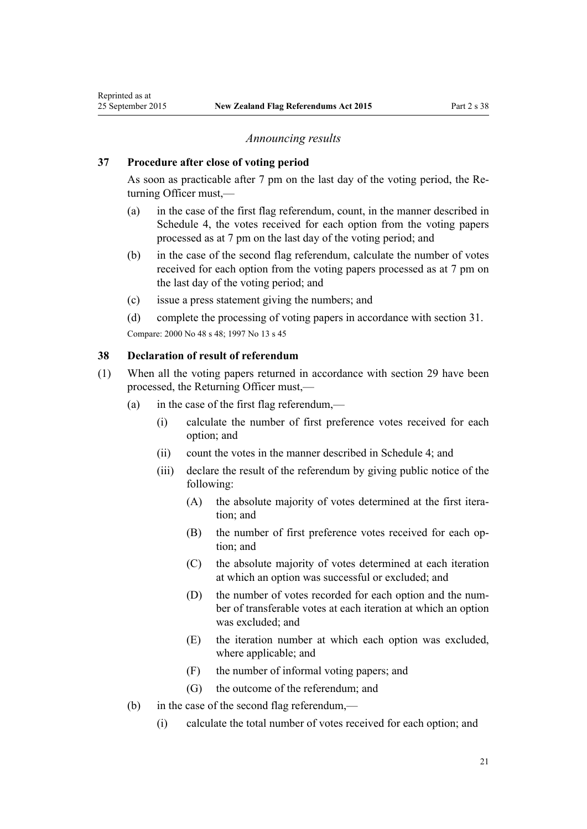#### *Announcing results*

#### <span id="page-20-0"></span>**37 Procedure after close of voting period**

As soon as practicable after 7 pm on the last day of the voting period, the Returning Officer must,—

- (a) in the case of the first flag referendum, count, in the manner described in [Schedule 4,](#page-45-0) the votes received for each option from the voting papers processed as at 7 pm on the last day of the voting period; and
- (b) in the case of the second flag referendum, calculate the number of votes received for each option from the voting papers processed as at 7 pm on the last day of the voting period; and
- (c) issue a press statement giving the numbers; and
- (d) complete the processing of voting papers in accordance with [section 31](#page-17-0). Compare: 2000 No 48 [s 48](http://prd-lgnz-nlb.prd.pco.net.nz/pdflink.aspx?id=DLM74633); 1997 No 13 [s 45](http://prd-lgnz-nlb.prd.pco.net.nz/pdflink.aspx?id=DLM408698)

#### **38 Declaration of result of referendum**

- (1) When all the voting papers returned in accordance with [section 29](#page-16-0) have been processed, the Returning Officer must,—
	- (a) in the case of the first flag referendum,—
		- (i) calculate the number of first preference votes received for each option; and
		- (ii) count the votes in the manner described in [Schedule 4](#page-45-0); and
		- (iii) declare the result of the referendum by giving public notice of the following:
			- (A) the absolute majority of votes determined at the first iteration; and
			- (B) the number of first preference votes received for each option; and
			- (C) the absolute majority of votes determined at each iteration at which an option was successful or excluded; and
			- (D) the number of votes recorded for each option and the number of transferable votes at each iteration at which an option was excluded; and
			- (E) the iteration number at which each option was excluded, where applicable; and
			- (F) the number of informal voting papers; and
			- (G) the outcome of the referendum; and
	- (b) in the case of the second flag referendum,—
		- (i) calculate the total number of votes received for each option; and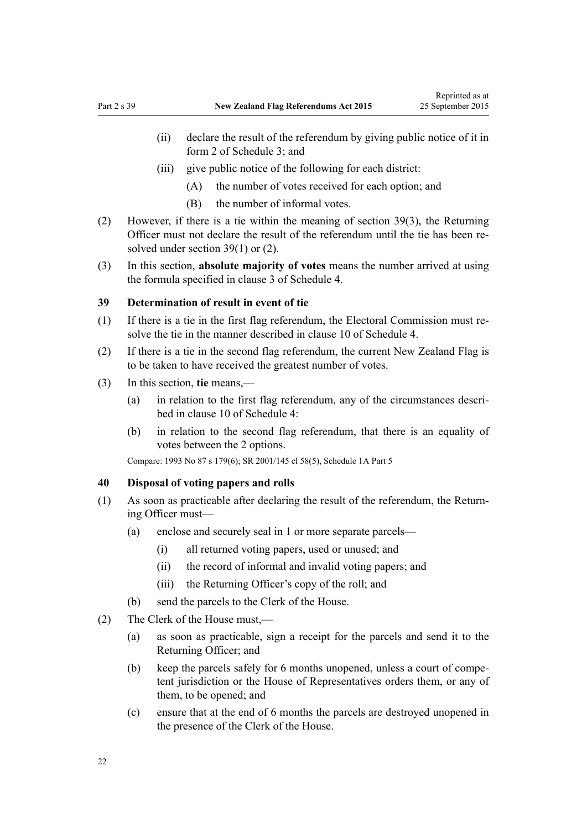- <span id="page-21-0"></span>(ii) declare the result of the referendum by giving public notice of it in [form 2](#page-41-0) of Schedule 3; and
- (iii) give public notice of the following for each district:
	- (A) the number of votes received for each option; and
	- (B) the number of informal votes.
- (2) However, if there is a tie within the meaning of section 39(3), the Returning Officer must not declare the result of the referendum until the tie has been resolved under section 39(1) or (2).
- (3) In this section, **absolute majority of votes** means the number arrived at using the formula specified in [clause 3](#page-45-0) of Schedule 4.

#### **39 Determination of result in event of tie**

- (1) If there is a tie in the first flag referendum, the Electoral Commission must resolve the tie in the manner described in [clause 10](#page-46-0) of Schedule 4.
- (2) If there is a tie in the second flag referendum, the current New Zealand Flag is to be taken to have received the greatest number of votes.
- (3) In this section, **tie** means,—
	- (a) in relation to the first flag referendum, any of the circumstances described in [clause 10](#page-46-0) of Schedule 4:
	- (b) in relation to the second flag referendum, that there is an equality of votes between the 2 options.

Compare: 1993 No 87 [s 179\(6\)](http://prd-lgnz-nlb.prd.pco.net.nz/pdflink.aspx?id=DLM309893); SR 2001/145 [cl 58\(5\),](http://prd-lgnz-nlb.prd.pco.net.nz/pdflink.aspx?id=DLM55663) [Schedule 1A](http://prd-lgnz-nlb.prd.pco.net.nz/pdflink.aspx?id=DLM57125) Part 5

## **40 Disposal of voting papers and rolls**

- (1) As soon as practicable after declaring the result of the referendum, the Returning Officer must—
	- (a) enclose and securely seal in 1 or more separate parcels—
		- (i) all returned voting papers, used or unused; and
		- (ii) the record of informal and invalid voting papers; and
		- (iii) the Returning Officer's copy of the roll; and
	- (b) send the parcels to the Clerk of the House.
- (2) The Clerk of the House must,—
	- (a) as soon as practicable, sign a receipt for the parcels and send it to the Returning Officer; and
	- (b) keep the parcels safely for 6 months unopened, unless a court of competent jurisdiction or the House of Representatives orders them, or any of them, to be opened; and
	- (c) ensure that at the end of 6 months the parcels are destroyed unopened in the presence of the Clerk of the House.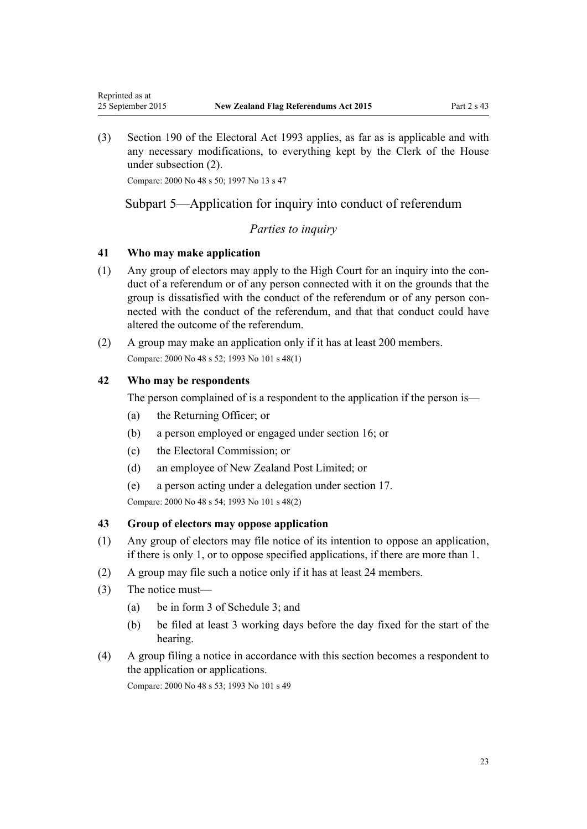<span id="page-22-0"></span>(3) [Section 190](http://prd-lgnz-nlb.prd.pco.net.nz/pdflink.aspx?id=DLM310028) of the Electoral Act 1993 applies, as far as is applicable and with any necessary modifications, to everything kept by the Clerk of the House under subsection (2).

Compare: 2000 No 48 [s 50](http://prd-lgnz-nlb.prd.pco.net.nz/pdflink.aspx?id=DLM74635); 1997 No 13 [s 47](http://prd-lgnz-nlb.prd.pco.net.nz/pdflink.aspx?id=DLM408900)

# Subpart 5—Application for inquiry into conduct of referendum

## *Parties to inquiry*

## **41 Who may make application**

- (1) Any group of electors may apply to the High Court for an inquiry into the conduct of a referendum or of any person connected with it on the grounds that the group is dissatisfied with the conduct of the referendum or of any person connected with the conduct of the referendum, and that that conduct could have altered the outcome of the referendum.
- (2) A group may make an application only if it has at least 200 members. Compare: 2000 No 48 [s 52](http://prd-lgnz-nlb.prd.pco.net.nz/pdflink.aspx?id=DLM74640); 1993 No 101 [s 48\(1\)](http://prd-lgnz-nlb.prd.pco.net.nz/pdflink.aspx?id=DLM318813)

## **42 Who may be respondents**

The person complained of is a respondent to the application if the person is—

- (a) the Returning Officer; or
- (b) a person employed or engaged under [section 16;](#page-9-0) or
- (c) the Electoral Commission; or
- (d) an employee of New Zealand Post Limited; or
- (e) a person acting under a delegation under [section 17.](#page-9-0)

Compare: 2000 No 48 [s 54](http://prd-lgnz-nlb.prd.pco.net.nz/pdflink.aspx?id=DLM74643); 1993 No 101 [s 48\(2\)](http://prd-lgnz-nlb.prd.pco.net.nz/pdflink.aspx?id=DLM318813)

## **43 Group of electors may oppose application**

- (1) Any group of electors may file notice of its intention to oppose an application, if there is only 1, or to oppose specified applications, if there are more than 1.
- (2) A group may file such a notice only if it has at least 24 members.
- (3) The notice must—
	- (a) be in [form 3](#page-42-0) of Schedule 3; and
	- (b) be filed at least 3 working days before the day fixed for the start of the hearing.
- (4) A group filing a notice in accordance with this section becomes a respondent to the application or applications.

Compare: 2000 No 48 [s 53](http://prd-lgnz-nlb.prd.pco.net.nz/pdflink.aspx?id=DLM74642); 1993 No 101 [s 49](http://prd-lgnz-nlb.prd.pco.net.nz/pdflink.aspx?id=DLM318817)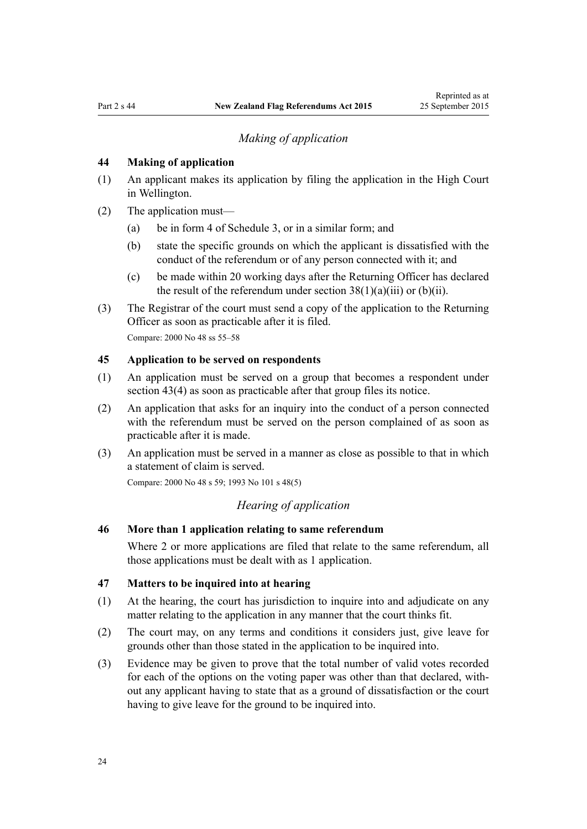# *Making of application*

#### <span id="page-23-0"></span>**44 Making of application**

- (1) An applicant makes its application by filing the application in the High Court in Wellington.
- (2) The application must—
	- (a) be in [form 4](#page-43-0) of Schedule 3, or in a similar form; and
	- (b) state the specific grounds on which the applicant is dissatisfied with the conduct of the referendum or of any person connected with it; and
	- (c) be made within 20 working days after the Returning Officer has declared the result of the referendum under section  $38(1)(a)(iii)$  or (b)(ii).
- (3) The Registrar of the court must send a copy of the application to the Returning Officer as soon as practicable after it is filed.

Compare: 2000 No 48 [ss 55–58](http://prd-lgnz-nlb.prd.pco.net.nz/pdflink.aspx?id=DLM74645)

#### **45 Application to be served on respondents**

- (1) An application must be served on a group that becomes a respondent under [section 43\(4\)](#page-22-0) as soon as practicable after that group files its notice.
- (2) An application that asks for an inquiry into the conduct of a person connected with the referendum must be served on the person complained of as soon as practicable after it is made.
- (3) An application must be served in a manner as close as possible to that in which a statement of claim is served.

Compare: 2000 No 48 [s 59](http://prd-lgnz-nlb.prd.pco.net.nz/pdflink.aspx?id=DLM74649); 1993 No 101 [s 48\(5\)](http://prd-lgnz-nlb.prd.pco.net.nz/pdflink.aspx?id=DLM74633)

## *Hearing of application*

## **46 More than 1 application relating to same referendum**

Where 2 or more applications are filed that relate to the same referendum, all those applications must be dealt with as 1 application.

### **47 Matters to be inquired into at hearing**

- (1) At the hearing, the court has jurisdiction to inquire into and adjudicate on any matter relating to the application in any manner that the court thinks fit.
- (2) The court may, on any terms and conditions it considers just, give leave for grounds other than those stated in the application to be inquired into.
- (3) Evidence may be given to prove that the total number of valid votes recorded for each of the options on the voting paper was other than that declared, without any applicant having to state that as a ground of dissatisfaction or the court having to give leave for the ground to be inquired into.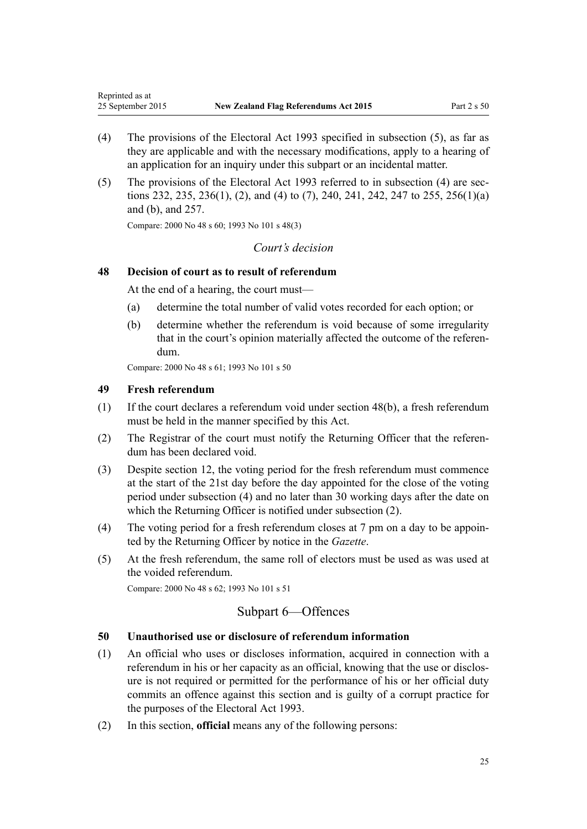- <span id="page-24-0"></span>(4) The provisions of the [Electoral Act 1993](http://prd-lgnz-nlb.prd.pco.net.nz/pdflink.aspx?id=DLM307518) specified in subsection (5), as far as they are applicable and with the necessary modifications, apply to a hearing of an application for an inquiry under this subpart or an incidental matter.
- (5) The provisions of the [Electoral Act 1993](http://prd-lgnz-nlb.prd.pco.net.nz/pdflink.aspx?id=DLM307518) referred to in subsection (4) are [sec](http://prd-lgnz-nlb.prd.pco.net.nz/pdflink.aspx?id=DLM310434)[tions 232](http://prd-lgnz-nlb.prd.pco.net.nz/pdflink.aspx?id=DLM310434), [235](http://prd-lgnz-nlb.prd.pco.net.nz/pdflink.aspx?id=DLM310438), [236\(1\), \(2\), and \(4\) to \(7\)](http://prd-lgnz-nlb.prd.pco.net.nz/pdflink.aspx?id=DLM310439), [240,](http://prd-lgnz-nlb.prd.pco.net.nz/pdflink.aspx?id=DLM310443) [241,](http://prd-lgnz-nlb.prd.pco.net.nz/pdflink.aspx?id=DLM310444) [242](http://prd-lgnz-nlb.prd.pco.net.nz/pdflink.aspx?id=DLM310445), [247 to 255](http://prd-lgnz-nlb.prd.pco.net.nz/pdflink.aspx?id=DLM310451), [256\(1\)\(a\)](http://prd-lgnz-nlb.prd.pco.net.nz/pdflink.aspx?id=DLM310463) [and \(b\)](http://prd-lgnz-nlb.prd.pco.net.nz/pdflink.aspx?id=DLM310463), and [257.](http://prd-lgnz-nlb.prd.pco.net.nz/pdflink.aspx?id=DLM310464)

Compare: 2000 No 48 [s 60](http://prd-lgnz-nlb.prd.pco.net.nz/pdflink.aspx?id=DLM74651); 1993 No 101 [s 48\(3\)](http://prd-lgnz-nlb.prd.pco.net.nz/pdflink.aspx?id=DLM318813)

## *Court's decision*

### **48 Decision of court as to result of referendum**

At the end of a hearing, the court must—

- (a) determine the total number of valid votes recorded for each option; or
- (b) determine whether the referendum is void because of some irregularity that in the court's opinion materially affected the outcome of the referendum.

Compare: 2000 No 48 [s 61](http://prd-lgnz-nlb.prd.pco.net.nz/pdflink.aspx?id=DLM74653); 1993 No 101 [s 50](http://prd-lgnz-nlb.prd.pco.net.nz/pdflink.aspx?id=DLM318819)

#### **49 Fresh referendum**

- (1) If the court declares a referendum void under section 48(b), a fresh referendum must be held in the manner specified by this Act.
- (2) The Registrar of the court must notify the Returning Officer that the referendum has been declared void.
- (3) Despite [section 12](#page-7-0), the voting period for the fresh referendum must commence at the start of the 21st day before the day appointed for the close of the voting period under subsection (4) and no later than 30 working days after the date on which the Returning Officer is notified under subsection (2).
- (4) The voting period for a fresh referendum closes at 7 pm on a day to be appointed by the Returning Officer by notice in the *Gazette*.
- (5) At the fresh referendum, the same roll of electors must be used as was used at the voided referendum.

Compare: 2000 No 48 [s 62](http://prd-lgnz-nlb.prd.pco.net.nz/pdflink.aspx?id=DLM74654); 1993 No 101 [s 51](http://prd-lgnz-nlb.prd.pco.net.nz/pdflink.aspx?id=DLM318822)

## Subpart 6—Offences

## **50 Unauthorised use or disclosure of referendum information**

- (1) An official who uses or discloses information, acquired in connection with a referendum in his or her capacity as an official, knowing that the use or disclosure is not required or permitted for the performance of his or her official duty commits an offence against this section and is guilty of a corrupt practice for the purposes of the [Electoral Act 1993](http://prd-lgnz-nlb.prd.pco.net.nz/pdflink.aspx?id=DLM307518).
- (2) In this section, **official** means any of the following persons: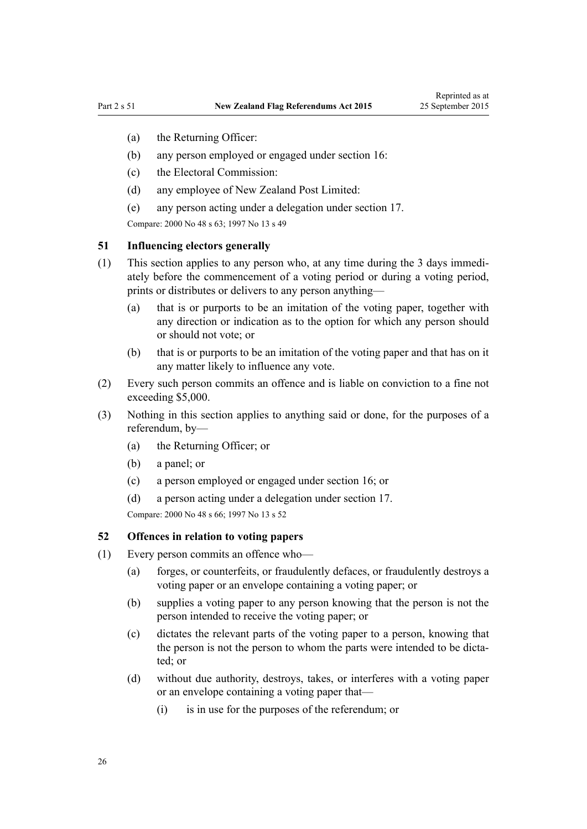- <span id="page-25-0"></span>(a) the Returning Officer:
- (b) any person employed or engaged under [section 16](#page-9-0):
- (c) the Electoral Commission:
- (d) any employee of New Zealand Post Limited:
- (e) any person acting under a delegation under [section 17](#page-9-0).

Compare: 2000 No 48 [s 63](http://prd-lgnz-nlb.prd.pco.net.nz/pdflink.aspx?id=DLM74656); 1997 No 13 [s 49](http://prd-lgnz-nlb.prd.pco.net.nz/pdflink.aspx?id=DLM408905)

#### **51 Influencing electors generally**

- (1) This section applies to any person who, at any time during the 3 days immediately before the commencement of a voting period or during a voting period, prints or distributes or delivers to any person anything—
	- (a) that is or purports to be an imitation of the voting paper, together with any direction or indication as to the option for which any person should or should not vote; or
	- (b) that is or purports to be an imitation of the voting paper and that has on it any matter likely to influence any vote.
- (2) Every such person commits an offence and is liable on conviction to a fine not exceeding \$5,000.
- (3) Nothing in this section applies to anything said or done, for the purposes of a referendum, by—
	- (a) the Returning Officer; or
	- (b) a panel; or
	- (c) a person employed or engaged under [section 16;](#page-9-0) or
	- (d) a person acting under a delegation under [section 17.](#page-9-0)

Compare: 2000 No 48 [s 66](http://prd-lgnz-nlb.prd.pco.net.nz/pdflink.aspx?id=DLM74659); 1997 No 13 [s 52](http://prd-lgnz-nlb.prd.pco.net.nz/pdflink.aspx?id=DLM408908)

#### **52 Offences in relation to voting papers**

- (1) Every person commits an offence who—
	- (a) forges, or counterfeits, or fraudulently defaces, or fraudulently destroys a voting paper or an envelope containing a voting paper; or
	- (b) supplies a voting paper to any person knowing that the person is not the person intended to receive the voting paper; or
	- (c) dictates the relevant parts of the voting paper to a person, knowing that the person is not the person to whom the parts were intended to be dictated; or
	- (d) without due authority, destroys, takes, or interferes with a voting paper or an envelope containing a voting paper that—
		- (i) is in use for the purposes of the referendum; or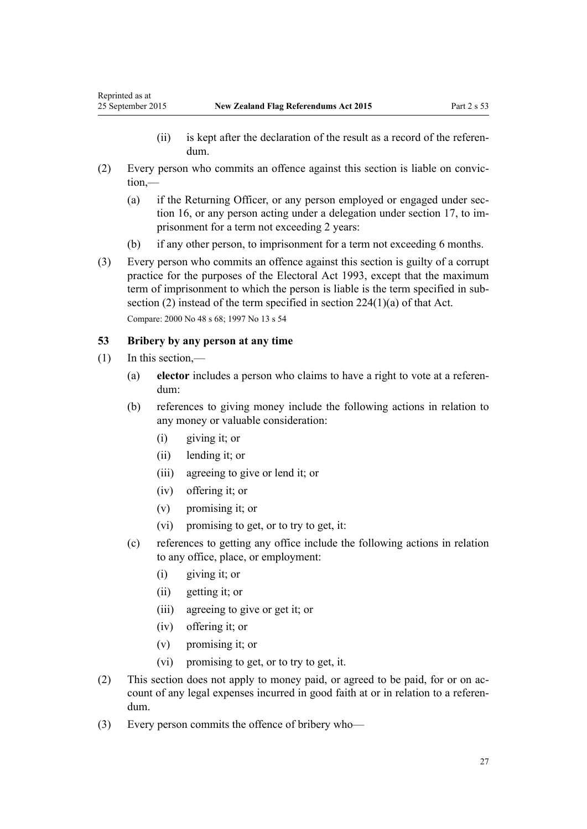- (ii) is kept after the declaration of the result as a record of the referendum.
- <span id="page-26-0"></span>(2) Every person who commits an offence against this section is liable on conviction,—
	- (a) if the Returning Officer, or any person employed or engaged under [sec](#page-9-0)[tion 16,](#page-9-0) or any person acting under a delegation under [section 17,](#page-9-0) to imprisonment for a term not exceeding 2 years:
	- (b) if any other person, to imprisonment for a term not exceeding 6 months.
- (3) Every person who commits an offence against this section is guilty of a corrupt practice for the purposes of the [Electoral Act 1993,](http://prd-lgnz-nlb.prd.pco.net.nz/pdflink.aspx?id=DLM307518) except that the maximum term of imprisonment to which the person is liable is the term specified in subsection (2) instead of the term specified in [section 224\(1\)\(a\)](http://prd-lgnz-nlb.prd.pco.net.nz/pdflink.aspx?id=DLM310419) of that Act. Compare: 2000 No 48 [s 68](http://prd-lgnz-nlb.prd.pco.net.nz/pdflink.aspx?id=DLM74661); 1997 No 13 [s 54](http://prd-lgnz-nlb.prd.pco.net.nz/pdflink.aspx?id=DLM408910)

## **53 Bribery by any person at any time**

- (1) In this section,—
	- (a) **elector** includes a person who claims to have a right to vote at a referendum:
	- (b) references to giving money include the following actions in relation to any money or valuable consideration:
		- (i) giving it; or
		- (ii) lending it; or
		- (iii) agreeing to give or lend it; or
		- (iv) offering it; or
		- (v) promising it; or
		- (vi) promising to get, or to try to get, it:
	- (c) references to getting any office include the following actions in relation to any office, place, or employment:
		- (i) giving it; or
		- (ii) getting it; or
		- (iii) agreeing to give or get it; or
		- (iv) offering it; or
		- (v) promising it; or
		- (vi) promising to get, or to try to get, it.
- (2) This section does not apply to money paid, or agreed to be paid, for or on account of any legal expenses incurred in good faith at or in relation to a referendum.
- (3) Every person commits the offence of bribery who—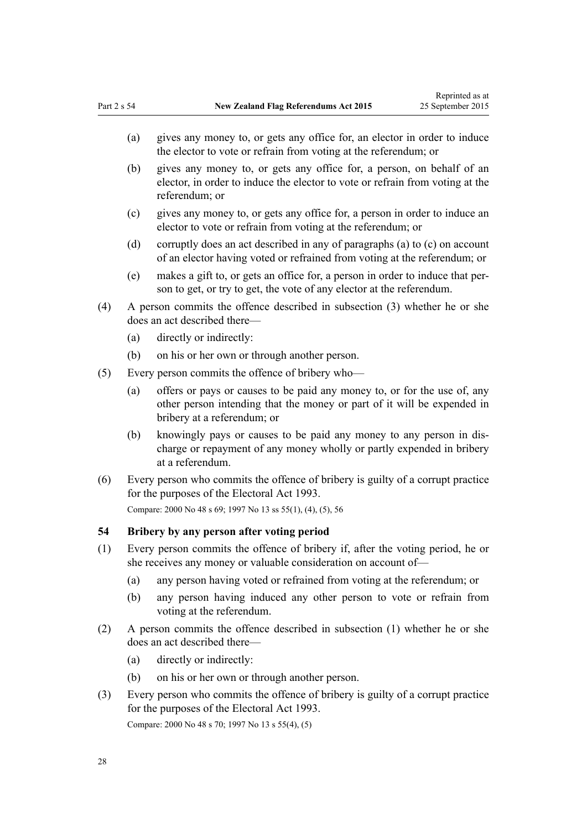- <span id="page-27-0"></span>(a) gives any money to, or gets any office for, an elector in order to induce the elector to vote or refrain from voting at the referendum; or
- (b) gives any money to, or gets any office for, a person, on behalf of an elector, in order to induce the elector to vote or refrain from voting at the referendum; or
- (c) gives any money to, or gets any office for, a person in order to induce an elector to vote or refrain from voting at the referendum; or
- (d) corruptly does an act described in any of paragraphs (a) to (c) on account of an elector having voted or refrained from voting at the referendum; or
- (e) makes a gift to, or gets an office for, a person in order to induce that person to get, or try to get, the vote of any elector at the referendum.
- (4) A person commits the offence described in subsection (3) whether he or she does an act described there—
	- (a) directly or indirectly:
	- (b) on his or her own or through another person.
- (5) Every person commits the offence of bribery who—
	- (a) offers or pays or causes to be paid any money to, or for the use of, any other person intending that the money or part of it will be expended in bribery at a referendum; or
	- (b) knowingly pays or causes to be paid any money to any person in discharge or repayment of any money wholly or partly expended in bribery at a referendum.
- (6) Every person who commits the offence of bribery is guilty of a corrupt practice for the purposes of the [Electoral Act 1993](http://prd-lgnz-nlb.prd.pco.net.nz/pdflink.aspx?id=DLM307518).

Compare: 2000 No 48 [s 69](http://prd-lgnz-nlb.prd.pco.net.nz/pdflink.aspx?id=DLM74662); 1997 No 13 [ss 55\(1\), \(4\), \(5\),](http://prd-lgnz-nlb.prd.pco.net.nz/pdflink.aspx?id=DLM408911) [56](http://prd-lgnz-nlb.prd.pco.net.nz/pdflink.aspx?id=DLM408912)

## **54 Bribery by any person after voting period**

- (1) Every person commits the offence of bribery if, after the voting period, he or she receives any money or valuable consideration on account of—
	- (a) any person having voted or refrained from voting at the referendum; or
	- (b) any person having induced any other person to vote or refrain from voting at the referendum.
- (2) A person commits the offence described in subsection (1) whether he or she does an act described there—
	- (a) directly or indirectly:
	- (b) on his or her own or through another person.
- (3) Every person who commits the offence of bribery is guilty of a corrupt practice for the purposes of the [Electoral Act 1993](http://prd-lgnz-nlb.prd.pco.net.nz/pdflink.aspx?id=DLM307518). Compare: 2000 No 48 [s 70](http://prd-lgnz-nlb.prd.pco.net.nz/pdflink.aspx?id=DLM74663); 1997 No 13 [s 55\(4\), \(5\)](http://prd-lgnz-nlb.prd.pco.net.nz/pdflink.aspx?id=DLM408911)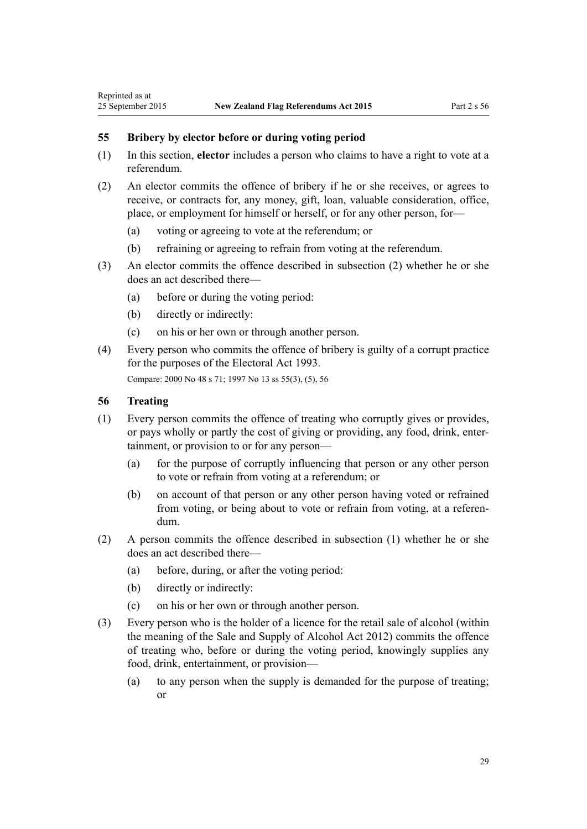#### **55 Bribery by elector before or during voting period**

- (1) In this section, **elector** includes a person who claims to have a right to vote at a referendum.
- (2) An elector commits the offence of bribery if he or she receives, or agrees to receive, or contracts for, any money, gift, loan, valuable consideration, office, place, or employment for himself or herself, or for any other person, for—
	- (a) voting or agreeing to vote at the referendum; or
	- (b) refraining or agreeing to refrain from voting at the referendum.
- (3) An elector commits the offence described in subsection (2) whether he or she does an act described there—
	- (a) before or during the voting period:
	- (b) directly or indirectly:
	- (c) on his or her own or through another person.
- (4) Every person who commits the offence of bribery is guilty of a corrupt practice for the purposes of the [Electoral Act 1993](http://prd-lgnz-nlb.prd.pco.net.nz/pdflink.aspx?id=DLM307518).

Compare: 2000 No 48 [s 71](http://prd-lgnz-nlb.prd.pco.net.nz/pdflink.aspx?id=DLM74664); 1997 No 13 [ss 55\(3\), \(5\),](http://prd-lgnz-nlb.prd.pco.net.nz/pdflink.aspx?id=DLM408911) [56](http://prd-lgnz-nlb.prd.pco.net.nz/pdflink.aspx?id=DLM408912)

#### **56 Treating**

<span id="page-28-0"></span>Reprinted as at

- (1) Every person commits the offence of treating who corruptly gives or provides, or pays wholly or partly the cost of giving or providing, any food, drink, entertainment, or provision to or for any person—
	- (a) for the purpose of corruptly influencing that person or any other person to vote or refrain from voting at a referendum; or
	- (b) on account of that person or any other person having voted or refrained from voting, or being about to vote or refrain from voting, at a referendum.
- (2) A person commits the offence described in subsection (1) whether he or she does an act described there—
	- (a) before, during, or after the voting period:
	- (b) directly or indirectly:
	- (c) on his or her own or through another person.
- (3) Every person who is the holder of a licence for the retail sale of alcohol (within the meaning of the [Sale and Supply of Alcohol Act 2012](http://prd-lgnz-nlb.prd.pco.net.nz/pdflink.aspx?id=DLM3339302)) commits the offence of treating who, before or during the voting period, knowingly supplies any food, drink, entertainment, or provision—
	- (a) to any person when the supply is demanded for the purpose of treating; or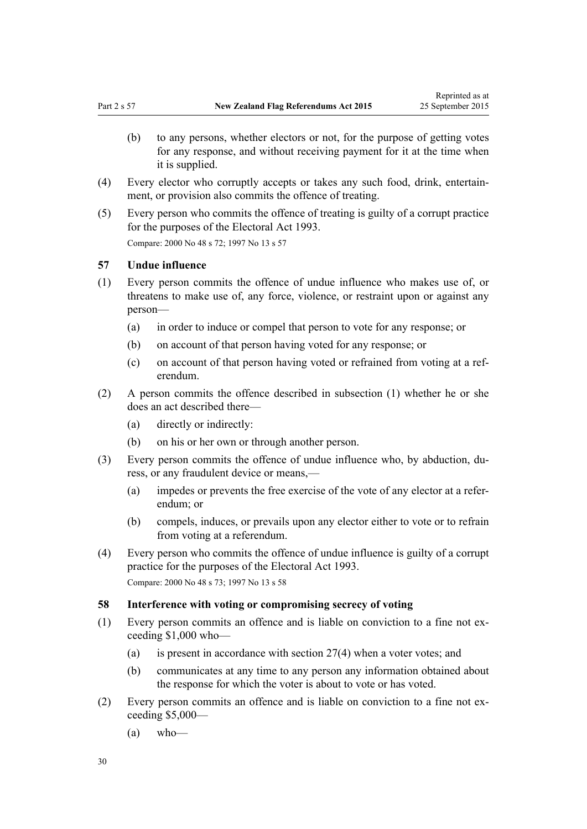- <span id="page-29-0"></span>(b) to any persons, whether electors or not, for the purpose of getting votes for any response, and without receiving payment for it at the time when it is supplied.
- (4) Every elector who corruptly accepts or takes any such food, drink, entertainment, or provision also commits the offence of treating.
- (5) Every person who commits the offence of treating is guilty of a corrupt practice for the purposes of the [Electoral Act 1993](http://prd-lgnz-nlb.prd.pco.net.nz/pdflink.aspx?id=DLM307518). Compare: 2000 No 48 [s 72](http://prd-lgnz-nlb.prd.pco.net.nz/pdflink.aspx?id=DLM74666); 1997 No 13 [s 57](http://prd-lgnz-nlb.prd.pco.net.nz/pdflink.aspx?id=DLM408914)

## **57 Undue influence**

- (1) Every person commits the offence of undue influence who makes use of, or threatens to make use of, any force, violence, or restraint upon or against any person—
	- (a) in order to induce or compel that person to vote for any response; or
	- (b) on account of that person having voted for any response; or
	- (c) on account of that person having voted or refrained from voting at a referendum.
- (2) A person commits the offence described in subsection (1) whether he or she does an act described there—
	- (a) directly or indirectly:
	- (b) on his or her own or through another person.
- (3) Every person commits the offence of undue influence who, by abduction, duress, or any fraudulent device or means,—
	- (a) impedes or prevents the free exercise of the vote of any elector at a referendum; or
	- (b) compels, induces, or prevails upon any elector either to vote or to refrain from voting at a referendum.
- (4) Every person who commits the offence of undue influence is guilty of a corrupt practice for the purposes of the [Electoral Act 1993.](http://prd-lgnz-nlb.prd.pco.net.nz/pdflink.aspx?id=DLM307518) Compare: 2000 No 48 [s 73](http://prd-lgnz-nlb.prd.pco.net.nz/pdflink.aspx?id=DLM74667); 1997 No 13 [s 58](http://prd-lgnz-nlb.prd.pco.net.nz/pdflink.aspx?id=DLM408915)

#### **58 Interference with voting or compromising secrecy of voting**

- (1) Every person commits an offence and is liable on conviction to a fine not exceeding \$1,000 who—
	- (a) is present in accordance with [section 27\(4\)](#page-15-0) when a voter votes; and
	- (b) communicates at any time to any person any information obtained about the response for which the voter is about to vote or has voted.
- (2) Every person commits an offence and is liable on conviction to a fine not exceeding \$5,000—
	- $(a)$  who—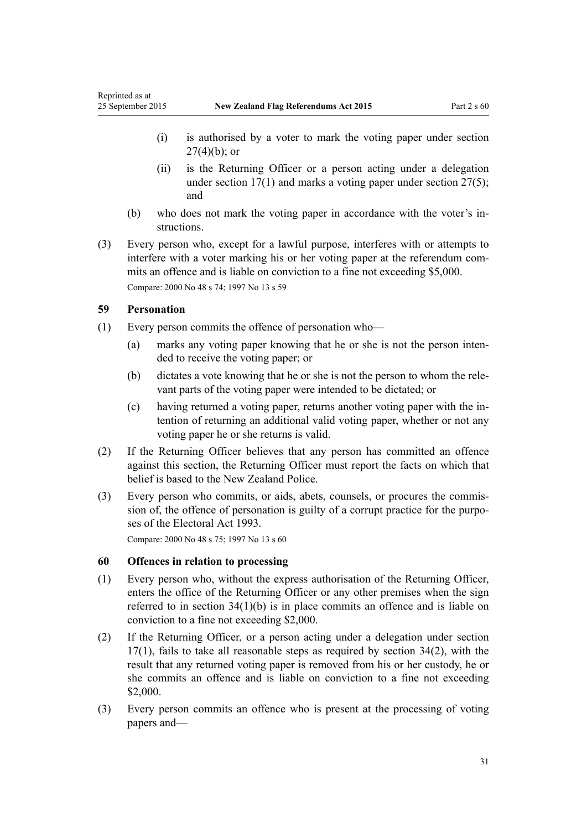- <span id="page-30-0"></span>(i) is authorised by a voter to mark the voting paper under [section](#page-15-0)  $27(4)(b)$ ; or
- (ii) is the Returning Officer or a person acting under a delegation under [section 17\(1\)](#page-9-0) and marks a voting paper under [section 27\(5\);](#page-15-0) and
- (b) who does not mark the voting paper in accordance with the voter's instructions.
- (3) Every person who, except for a lawful purpose, interferes with or attempts to interfere with a voter marking his or her voting paper at the referendum commits an offence and is liable on conviction to a fine not exceeding \$5,000. Compare: 2000 No 48 [s 74](http://prd-lgnz-nlb.prd.pco.net.nz/pdflink.aspx?id=DLM74668); 1997 No 13 [s 59](http://prd-lgnz-nlb.prd.pco.net.nz/pdflink.aspx?id=DLM408916)

## **59 Personation**

- (1) Every person commits the offence of personation who—
	- (a) marks any voting paper knowing that he or she is not the person intended to receive the voting paper; or
	- (b) dictates a vote knowing that he or she is not the person to whom the relevant parts of the voting paper were intended to be dictated; or
	- (c) having returned a voting paper, returns another voting paper with the intention of returning an additional valid voting paper, whether or not any voting paper he or she returns is valid.
- (2) If the Returning Officer believes that any person has committed an offence against this section, the Returning Officer must report the facts on which that belief is based to the New Zealand Police.
- (3) Every person who commits, or aids, abets, counsels, or procures the commission of, the offence of personation is guilty of a corrupt practice for the purposes of the [Electoral Act 1993](http://prd-lgnz-nlb.prd.pco.net.nz/pdflink.aspx?id=DLM307518).

Compare: 2000 No 48 [s 75](http://prd-lgnz-nlb.prd.pco.net.nz/pdflink.aspx?id=DLM74669); 1997 No 13 [s 60](http://prd-lgnz-nlb.prd.pco.net.nz/pdflink.aspx?id=DLM408917)

### **60 Offences in relation to processing**

- (1) Every person who, without the express authorisation of the Returning Officer, enters the office of the Returning Officer or any other premises when the sign referred to in [section 34\(1\)\(b\)](#page-18-0) is in place commits an offence and is liable on conviction to a fine not exceeding \$2,000.
- (2) If the Returning Officer, or a person acting under a delegation under [section](#page-9-0) [17\(1\)](#page-9-0), fails to take all reasonable steps as required by [section 34\(2\)](#page-18-0), with the result that any returned voting paper is removed from his or her custody, he or she commits an offence and is liable on conviction to a fine not exceeding \$2,000.
- (3) Every person commits an offence who is present at the processing of voting papers and—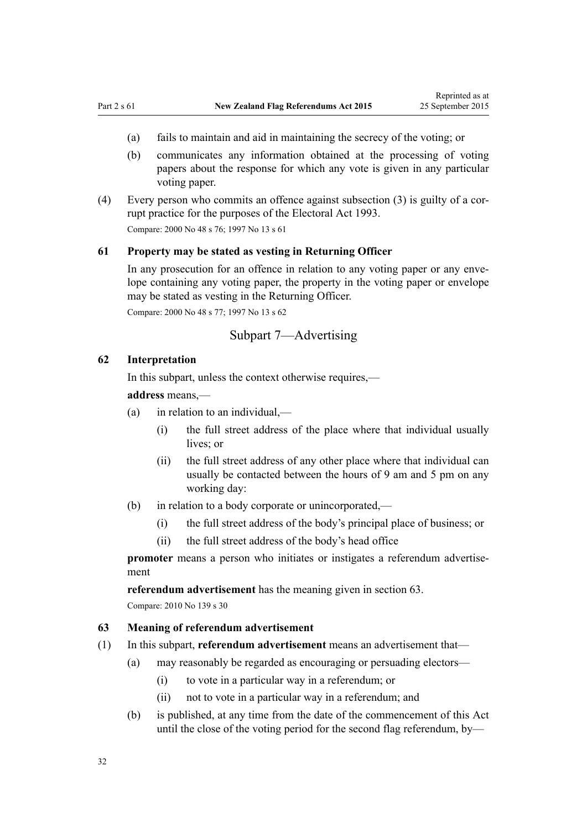- <span id="page-31-0"></span>(a) fails to maintain and aid in maintaining the secrecy of the voting; or
- (b) communicates any information obtained at the processing of voting papers about the response for which any vote is given in any particular voting paper.
- (4) Every person who commits an offence against subsection (3) is guilty of a corrupt practice for the purposes of the [Electoral Act 1993](http://prd-lgnz-nlb.prd.pco.net.nz/pdflink.aspx?id=DLM307518). Compare: 2000 No 48 [s 76](http://prd-lgnz-nlb.prd.pco.net.nz/pdflink.aspx?id=DLM74670); 1997 No 13 [s 61](http://prd-lgnz-nlb.prd.pco.net.nz/pdflink.aspx?id=DLM408918)

#### **61 Property may be stated as vesting in Returning Officer**

In any prosecution for an offence in relation to any voting paper or any envelope containing any voting paper, the property in the voting paper or envelope may be stated as vesting in the Returning Officer.

Compare: 2000 No 48 [s 77](http://prd-lgnz-nlb.prd.pco.net.nz/pdflink.aspx?id=DLM74672); 1997 No 13 [s 62](http://prd-lgnz-nlb.prd.pco.net.nz/pdflink.aspx?id=DLM408920)

## Subpart 7—Advertising

#### **62 Interpretation**

In this subpart, unless the context otherwise requires,—

#### **address** means,—

- (a) in relation to an individual,—
	- (i) the full street address of the place where that individual usually lives; or
	- (ii) the full street address of any other place where that individual can usually be contacted between the hours of 9 am and 5 pm on any working day:
- (b) in relation to a body corporate or unincorporated,—
	- (i) the full street address of the body's principal place of business; or
	- (ii) the full street address of the body's head office

**promoter** means a person who initiates or instigates a referendum advertisement

**referendum advertisement** has the meaning given in section 63.

Compare: 2010 No 139 s 30

#### **63 Meaning of referendum advertisement**

- (1) In this subpart, **referendum advertisement** means an advertisement that—
	- (a) may reasonably be regarded as encouraging or persuading electors—
		- (i) to vote in a particular way in a referendum; or
		- (ii) not to vote in a particular way in a referendum; and
	- (b) is published, at any time from the date of the commencement of this Act until the close of the voting period for the second flag referendum, by—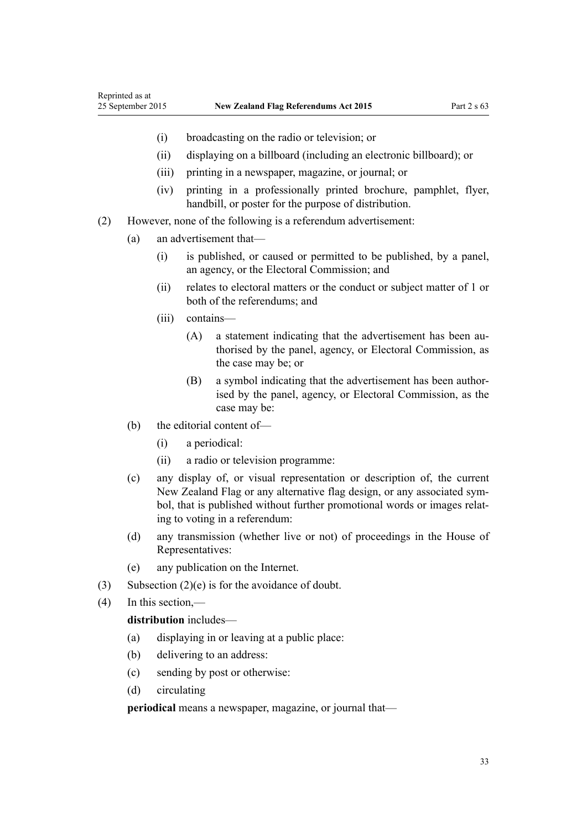- (i) broadcasting on the radio or television; or
- (ii) displaying on a billboard (including an electronic billboard); or
- (iii) printing in a newspaper, magazine, or journal; or
- (iv) printing in a professionally printed brochure, pamphlet, flyer, handbill, or poster for the purpose of distribution.
- (2) However, none of the following is a referendum advertisement:
	- (a) an advertisement that—
		- (i) is published, or caused or permitted to be published, by a panel, an agency, or the Electoral Commission; and
		- (ii) relates to electoral matters or the conduct or subject matter of 1 or both of the referendums; and
		- (iii) contains—
			- (A) a statement indicating that the advertisement has been authorised by the panel, agency, or Electoral Commission, as the case may be; or
			- (B) a symbol indicating that the advertisement has been authorised by the panel, agency, or Electoral Commission, as the case may be:
	- (b) the editorial content of—
		- (i) a periodical:
		- (ii) a radio or television programme:
	- (c) any display of, or visual representation or description of, the current New Zealand Flag or any alternative flag design, or any associated symbol, that is published without further promotional words or images relating to voting in a referendum:
	- (d) any transmission (whether live or not) of proceedings in the House of Representatives:
	- (e) any publication on the Internet.
- (3) Subsection (2)(e) is for the avoidance of doubt.
- (4) In this section,—

#### **distribution** includes—

- (a) displaying in or leaving at a public place:
- (b) delivering to an address:
- (c) sending by post or otherwise:
- (d) circulating

**periodical** means a newspaper, magazine, or journal that—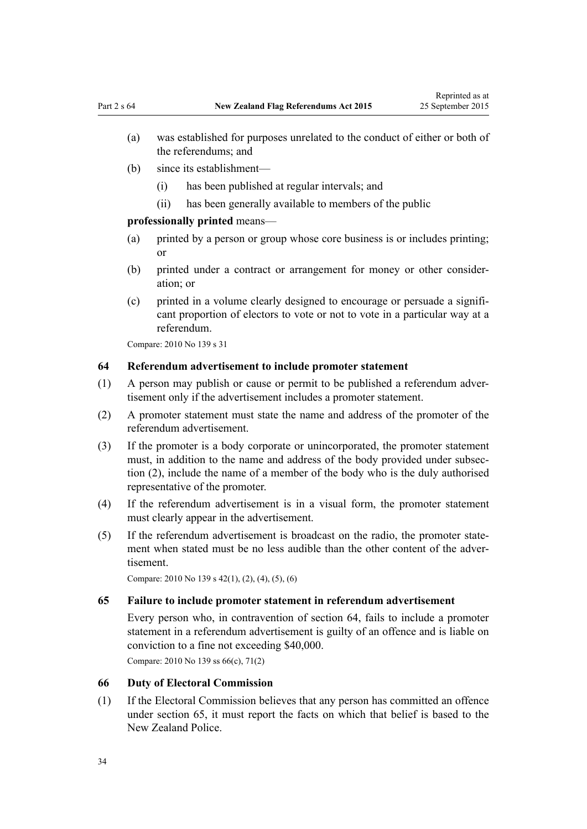- <span id="page-33-0"></span>(a) was established for purposes unrelated to the conduct of either or both of the referendums; and
- (b) since its establishment—
	- (i) has been published at regular intervals; and
	- (ii) has been generally available to members of the public

## **professionally printed** means—

- (a) printed by a person or group whose core business is or includes printing; or
- (b) printed under a contract or arrangement for money or other consideration; or
- (c) printed in a volume clearly designed to encourage or persuade a significant proportion of electors to vote or not to vote in a particular way at a referendum.

Compare: 2010 No 139 [s 31](http://prd-lgnz-nlb.prd.pco.net.nz/pdflink.aspx?id=DLM2833601)

### **64 Referendum advertisement to include promoter statement**

- (1) A person may publish or cause or permit to be published a referendum advertisement only if the advertisement includes a promoter statement.
- (2) A promoter statement must state the name and address of the promoter of the referendum advertisement.
- (3) If the promoter is a body corporate or unincorporated, the promoter statement must, in addition to the name and address of the body provided under subsection (2), include the name of a member of the body who is the duly authorised representative of the promoter.
- (4) If the referendum advertisement is in a visual form, the promoter statement must clearly appear in the advertisement.
- (5) If the referendum advertisement is broadcast on the radio, the promoter statement when stated must be no less audible than the other content of the advertisement.

Compare: 2010 No 139 [s 42\(1\), \(2\), \(4\), \(5\), \(6\)](http://prd-lgnz-nlb.prd.pco.net.nz/pdflink.aspx?id=DLM3382241)

#### **65 Failure to include promoter statement in referendum advertisement**

Every person who, in contravention of section 64, fails to include a promoter statement in a referendum advertisement is guilty of an offence and is liable on conviction to a fine not exceeding \$40,000.

Compare: 2010 No 139 [ss 66\(c\)](http://prd-lgnz-nlb.prd.pco.net.nz/pdflink.aspx?id=DLM2833628), [71\(2\)](http://prd-lgnz-nlb.prd.pco.net.nz/pdflink.aspx?id=DLM3382260)

## **66 Duty of Electoral Commission**

(1) If the Electoral Commission believes that any person has committed an offence under section 65, it must report the facts on which that belief is based to the New Zealand Police.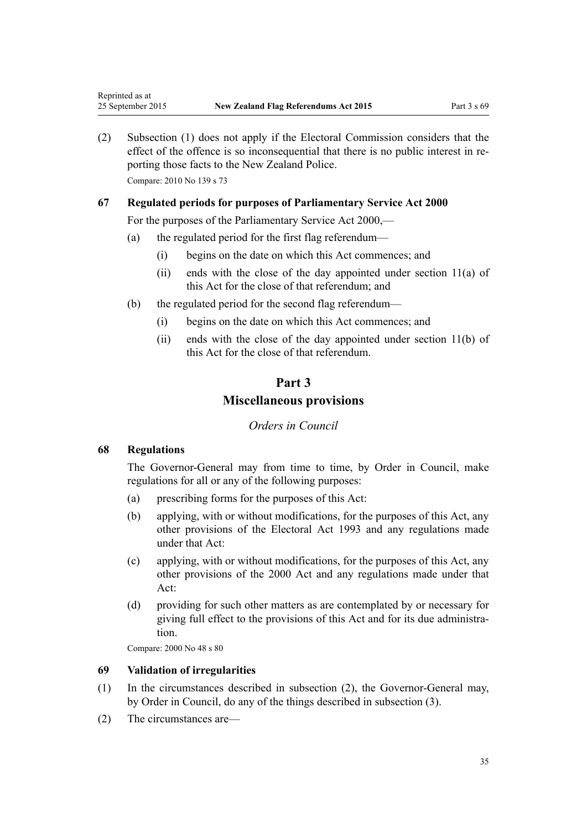(2) Subsection (1) does not apply if the Electoral Commission considers that the effect of the offence is so inconsequential that there is no public interest in reporting those facts to the New Zealand Police.

Compare: 2010 No 139 [s 73](http://prd-lgnz-nlb.prd.pco.net.nz/pdflink.aspx?id=DLM2833631)

<span id="page-34-0"></span>Reprinted as at

## **67 Regulated periods for purposes of Parliamentary Service Act 2000**

For the purposes of the [Parliamentary Service Act 2000](http://prd-lgnz-nlb.prd.pco.net.nz/pdflink.aspx?id=DLM55839),—

- (a) the regulated period for the first flag referendum—
	- (i) begins on the date on which this Act commences; and
	- (ii) ends with the close of the day appointed under [section 11\(a\)](http://prd-lgnz-nlb.prd.pco.net.nz/pdflink.aspx?id=DLM55889) of this Act for the close of that referendum; and
- (b) the regulated period for the second flag referendum—
	- (i) begins on the date on which this Act commences; and
	- (ii) ends with the close of the day appointed under section  $11(b)$  of this Act for the close of that referendum.

# **Part 3 Miscellaneous provisions**

## *Orders in Council*

#### **68 Regulations**

The Governor-General may from time to time, by Order in Council, make regulations for all or any of the following purposes:

- (a) prescribing forms for the purposes of this Act:
- (b) applying, with or without modifications, for the purposes of this Act, any other provisions of the [Electoral Act 1993](http://prd-lgnz-nlb.prd.pco.net.nz/pdflink.aspx?id=DLM307518) and any regulations made under that Act:
- (c) applying, with or without modifications, for the purposes of this Act, any other provisions of the [2000 Act](http://prd-lgnz-nlb.prd.pco.net.nz/pdflink.aspx?id=DLM73880) and any regulations made under that Act:
- (d) providing for such other matters as are contemplated by or necessary for giving full effect to the provisions of this Act and for its due administration.

Compare: 2000 No 48 [s 80](http://prd-lgnz-nlb.prd.pco.net.nz/pdflink.aspx?id=DLM74676)

## **69 Validation of irregularities**

- (1) In the circumstances described in subsection (2), the Governor-General may, by Order in Council, do any of the things described in subsection (3).
- (2) The circumstances are—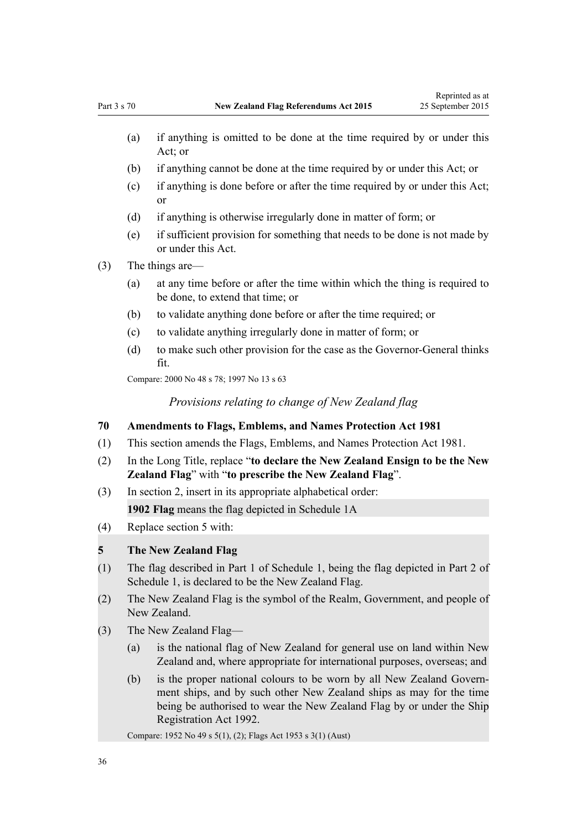- <span id="page-35-0"></span>(a) if anything is omitted to be done at the time required by or under this Act; or
- (b) if anything cannot be done at the time required by or under this Act; or
- (c) if anything is done before or after the time required by or under this Act; or
- (d) if anything is otherwise irregularly done in matter of form; or
- (e) if sufficient provision for something that needs to be done is not made by or under this Act.
- (3) The things are—
	- (a) at any time before or after the time within which the thing is required to be done, to extend that time; or
	- (b) to validate anything done before or after the time required; or
	- (c) to validate anything irregularly done in matter of form; or
	- (d) to make such other provision for the case as the Governor-General thinks fit.

Compare: 2000 No 48 [s 78](http://prd-lgnz-nlb.prd.pco.net.nz/pdflink.aspx?id=DLM74674); 1997 No 13 [s 63](http://prd-lgnz-nlb.prd.pco.net.nz/pdflink.aspx?id=DLM408922)

*Provisions relating to change of New Zealand flag*

## **70 Amendments to Flags, Emblems, and Names Protection Act 1981**

- (1) This section amends the [Flags, Emblems, and Names Protection Act 1981.](http://prd-lgnz-nlb.prd.pco.net.nz/pdflink.aspx?id=DLM51357)
- (2) In the Long Title, replace "**to declare the New Zealand Ensign to be the New Zealand Flag**" with "**to prescribe the New Zealand Flag**".
- (3) In [section 2,](http://prd-lgnz-nlb.prd.pco.net.nz/pdflink.aspx?id=DLM51363) insert in its appropriate alphabetical order:

**1902 Flag** means the flag depicted in Schedule 1A

(4) Replace [section 5](http://prd-lgnz-nlb.prd.pco.net.nz/pdflink.aspx?id=DLM52200) with:

#### **5 The New Zealand Flag**

- (1) The flag described in Part 1 of Schedule 1, being the flag depicted in Part 2 of Schedule 1, is declared to be the New Zealand Flag.
- (2) The New Zealand Flag is the symbol of the Realm, Government, and people of New Zealand.
- (3) The New Zealand Flag—
	- (a) is the national flag of New Zealand for general use on land within New Zealand and, where appropriate for international purposes, overseas; and
	- (b) is the proper national colours to be worn by all New Zealand Government ships, and by such other New Zealand ships as may for the time being be authorised to wear the New Zealand Flag by or under the Ship Registration Act 1992.

Compare: 1952 No 49 s 5(1), (2); Flags Act 1953 s 3(1) (Aust)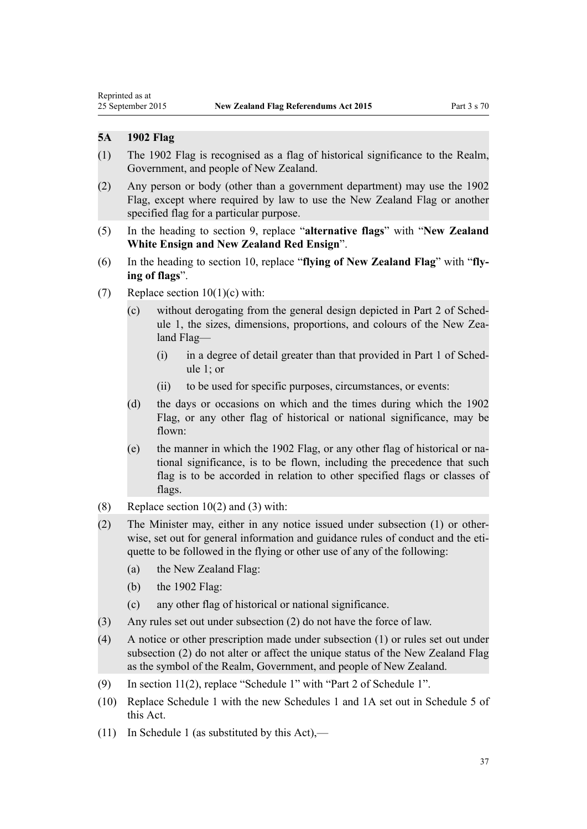<span id="page-36-0"></span>Reprinted as at

## **5A 1902 Flag**

- (1) The 1902 Flag is recognised as a flag of historical significance to the Realm, Government, and people of New Zealand.
- (2) Any person or body (other than a government department) may use the 1902 Flag, except where required by law to use the New Zealand Flag or another specified flag for a particular purpose.
- (5) In the heading to [section 9](http://prd-lgnz-nlb.prd.pco.net.nz/pdflink.aspx?id=DLM52207), replace "**alternative flags**" with "**New Zealand White Ensign and New Zealand Red Ensign**".
- (6) In the heading to [section 10](http://prd-lgnz-nlb.prd.pco.net.nz/pdflink.aspx?id=DLM52209), replace "**flying of New Zealand Flag**" with "**flying of flags**".
- (7) Replace section  $10(1)(c)$  with:
	- (c) without derogating from the general design depicted in Part 2 of Schedule 1, the sizes, dimensions, proportions, and colours of the New Zealand Flag—
		- (i) in a degree of detail greater than that provided in Part 1 of Schedule 1; or
		- (ii) to be used for specific purposes, circumstances, or events:
	- (d) the days or occasions on which and the times during which the 1902 Flag, or any other flag of historical or national significance, may be flown:
	- (e) the manner in which the 1902 Flag, or any other flag of historical or national significance, is to be flown, including the precedence that such flag is to be accorded in relation to other specified flags or classes of flags.
- (8) Replace section  $10(2)$  and (3) with:
- (2) The Minister may, either in any notice issued under subsection (1) or otherwise, set out for general information and guidance rules of conduct and the etiquette to be followed in the flying or other use of any of the following:
	- (a) the New Zealand Flag:
	- (b) the 1902 Flag:
	- (c) any other flag of historical or national significance.
- (3) Any rules set out under subsection (2) do not have the force of law.
- (4) A notice or other prescription made under subsection (1) or rules set out under subsection (2) do not alter or affect the unique status of the New Zealand Flag as the symbol of the Realm, Government, and people of New Zealand.
- (9) In [section 11\(2\),](http://prd-lgnz-nlb.prd.pco.net.nz/pdflink.aspx?id=DLM52211) replace "Schedule 1" with "Part 2 of Schedule 1".
- (10) Replace [Schedule 1](http://prd-lgnz-nlb.prd.pco.net.nz/pdflink.aspx?id=DLM52255) with the new Schedules 1 and 1A set out in [Schedule 5](#page-50-0) of this Act.
- (11) In [Schedule 1](http://prd-lgnz-nlb.prd.pco.net.nz/pdflink.aspx?id=DLM52255) (as substituted by this Act),—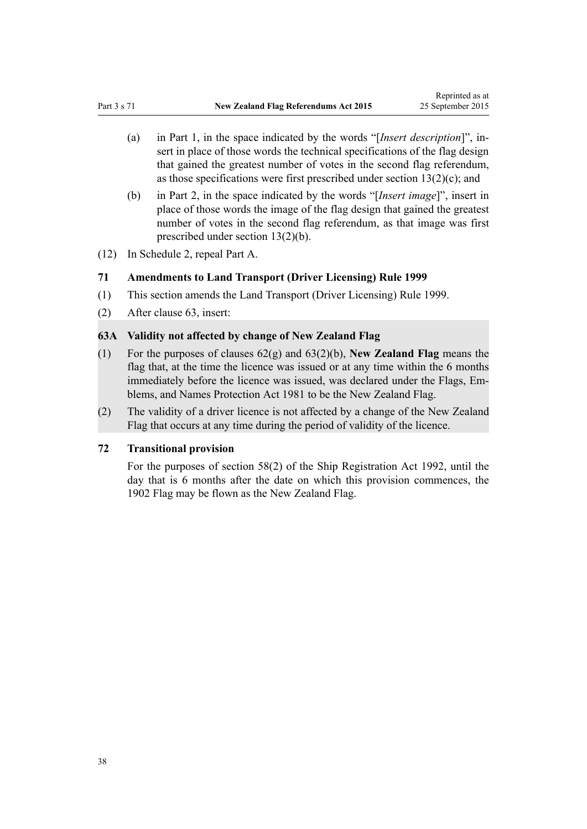- <span id="page-37-0"></span>(a) in [Part 1,](http://prd-lgnz-nlb.prd.pco.net.nz/pdflink.aspx?id=DLM51399) in the space indicated by the words "[*Insert description*]", insert in place of those words the technical specifications of the flag design that gained the greatest number of votes in the second flag referendum, as those specifications were first prescribed under [section 13\(2\)\(c\)](http://prd-lgnz-nlb.prd.pco.net.nz/pdflink.aspx?id=DLM52216); and
- (b) in [Part 2,](http://prd-lgnz-nlb.prd.pco.net.nz/pdflink.aspx?id=DLM52213) in the space indicated by the words "[*Insert image*]", insert in place of those words the image of the flag design that gained the greatest number of votes in the second flag referendum, as that image was first prescribed under [section 13\(2\)\(b\).](http://prd-lgnz-nlb.prd.pco.net.nz/pdflink.aspx?id=DLM52216)
- (12) In [Schedule 2](http://prd-lgnz-nlb.prd.pco.net.nz/pdflink.aspx?id=DLM52257), repeal Part A.

#### **71 Amendments to Land Transport (Driver Licensing) Rule 1999**

- (1) This section amends the [Land Transport \(Driver Licensing\) Rule 1999.](http://prd-lgnz-nlb.prd.pco.net.nz/pdflink.aspx?id=DLM280561)
- (2) After [clause 63](http://prd-lgnz-nlb.prd.pco.net.nz/pdflink.aspx?id=DLM281581), insert:

## **63A Validity not affected by change of New Zealand Flag**

- (1) For the purposes of clauses 62(g) and 63(2)(b), **New Zealand Flag** means the flag that, at the time the licence was issued or at any time within the 6 months immediately before the licence was issued, was declared under the Flags, Emblems, and Names Protection Act 1981 to be the New Zealand Flag.
- (2) The validity of a driver licence is not affected by a change of the New Zealand Flag that occurs at any time during the period of validity of the licence.

#### **72 Transitional provision**

For the purposes of [section 58\(2\)](http://prd-lgnz-nlb.prd.pco.net.nz/pdflink.aspx?id=DLM276623) of the Ship Registration Act 1992, until the day that is 6 months after the date on which this provision commences, the 1902 Flag may be flown as the New Zealand Flag.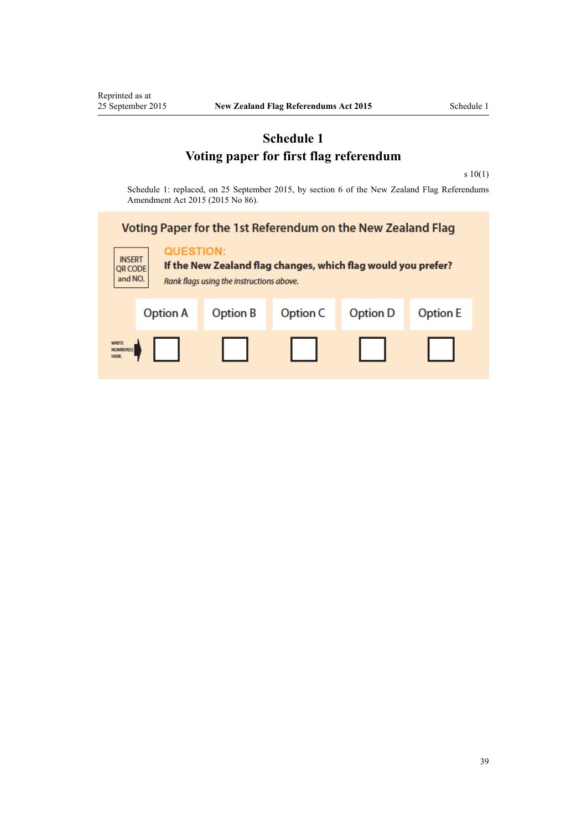<span id="page-38-0"></span>Reprinted as at<br>25 September 2015

# **Schedule 1 Voting paper for first flag referendum**

[s 10\(1\)](#page-7-0)

Schedule 1: replaced, on 25 September 2015, by [section 6](http://prd-lgnz-nlb.prd.pco.net.nz/pdflink.aspx?id=DLM6601815) of the New Zealand Flag Referendums Amendment Act 2015 (2015 No 86).

## Voting Paper for the 1st Referendum on the New Zealand Flag **QUESTION: INSERT** If the New Zealand flag changes, which flag would you prefer? **QR CODE** and NO. Rank flags using the instructions above. **Option A Option B** Option C **Option D Option E** WRITE<br>NUMBER<br>HERE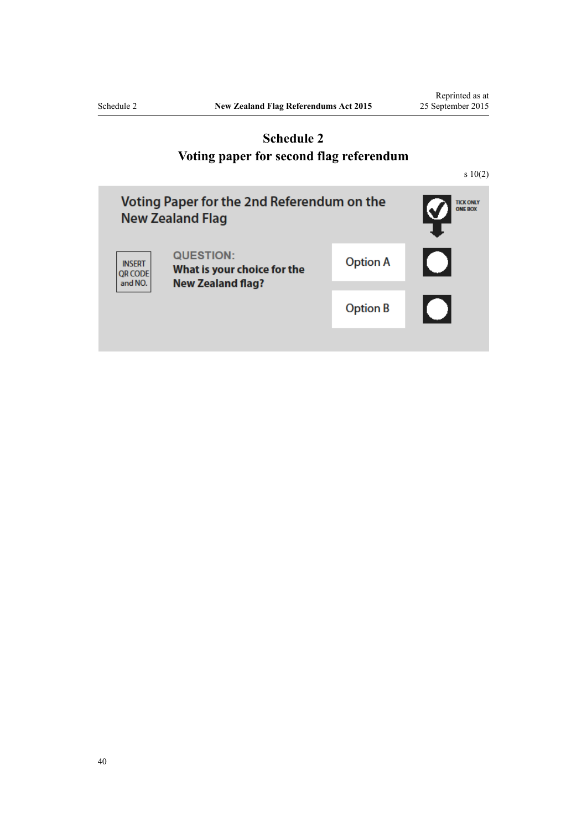<span id="page-39-0"></span>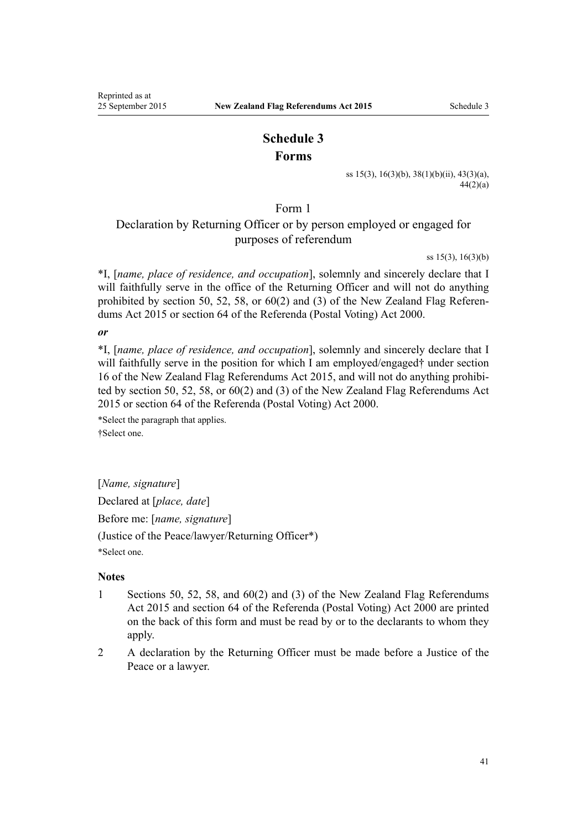# **Schedule 3 Forms**

[ss 15\(3\), 16\(3\)\(b\)](#page-9-0), [38\(1\)\(b\)\(ii\),](#page-20-0) [43\(3\)\(a\),](#page-22-0)  $44(2)(a)$ 

Form 1

# <span id="page-40-0"></span>Declaration by Returning Officer or by person employed or engaged for purposes of referendum

[ss 15\(3\), 16\(3\)\(b\)](#page-9-0)

\*I, [*name, place of residence, and occupation*], solemnly and sincerely declare that I will faithfully serve in the office of the Returning Officer and will not do anything prohibited by [section 50](#page-24-0), [52](#page-25-0), [58](#page-29-0), or [60\(2\) and \(3\)](#page-30-0) of the New Zealand Flag Referendums Act 2015 or [section 64](http://prd-lgnz-nlb.prd.pco.net.nz/pdflink.aspx?id=DLM74657) of the Referenda (Postal Voting) Act 2000.

*or*

\*I, [*name, place of residence, and occupation*], solemnly and sincerely declare that I will faithfully serve in the position for which I am employed/engaged† under [section](#page-9-0) [16](#page-9-0) of the New Zealand Flag Referendums Act 2015, and will not do anything prohibited by [section 50](#page-24-0), [52,](#page-25-0) [58](#page-29-0), or [60\(2\) and \(3\)](#page-30-0) of the New Zealand Flag Referendums Act 2015 or [section 64](http://prd-lgnz-nlb.prd.pco.net.nz/pdflink.aspx?id=DLM74657) of the Referenda (Postal Voting) Act 2000.

\*Select the paragraph that applies. †Select one.

[*Name, signature*] Declared at [*place, date*] Before me: [*name, signature*] (Justice of the Peace/lawyer/Returning Officer\*)

\*Select one.

## **Notes**

- 1 [Sections 50](#page-24-0), [52,](#page-25-0) [58,](#page-29-0) and [60\(2\) and \(3\)](#page-30-0) of the New Zealand Flag Referendums Act 2015 and [section 64](http://prd-lgnz-nlb.prd.pco.net.nz/pdflink.aspx?id=DLM74657) of the Referenda (Postal Voting) Act 2000 are printed on the back of this form and must be read by or to the declarants to whom they apply.
- 2 A declaration by the Returning Officer must be made before a Justice of the Peace or a lawyer.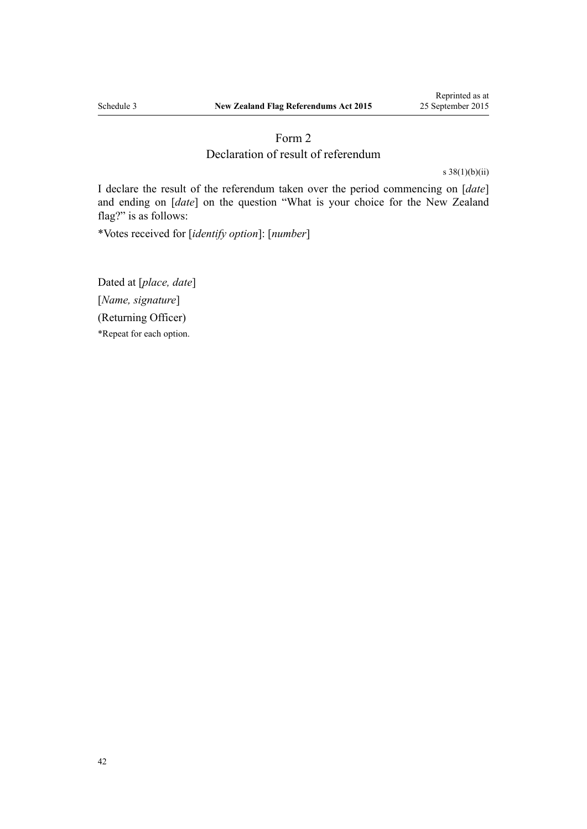## Form 2

## Declaration of result of referendum

[s 38\(1\)\(b\)\(ii\)](#page-20-0)

<span id="page-41-0"></span>I declare the result of the referendum taken over the period commencing on [*date*] and ending on [*date*] on the question "What is your choice for the New Zealand flag?" is as follows:

\*Votes received for [*identify option*]: [*number*]

Dated at [*place, date*] [*Name, signature*] (Returning Officer) \*Repeat for each option.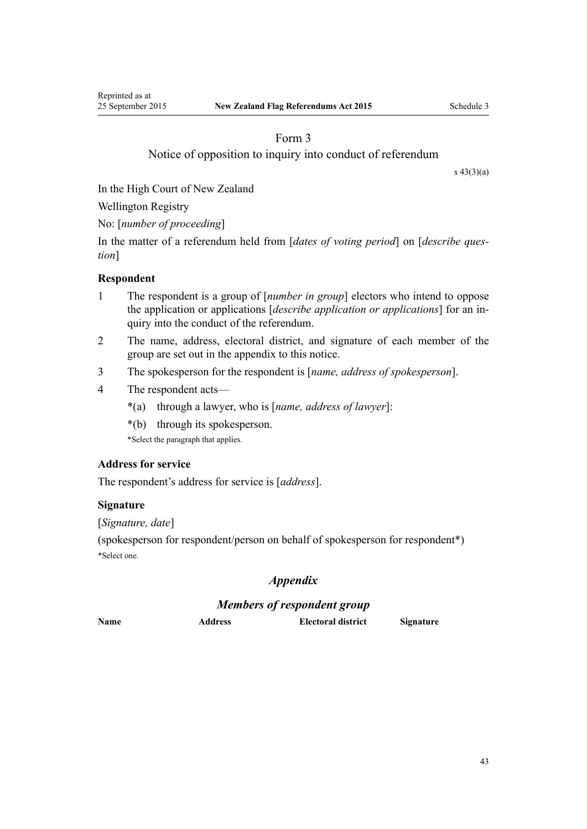# Form 3

## Notice of opposition to inquiry into conduct of referendum

[s 43\(3\)\(a\)](#page-22-0)

<span id="page-42-0"></span>In the High Court of New Zealand

Wellington Registry

No: [*number of proceeding*]

In the matter of a referendum held from [*dates of voting period*] on [*describe question*]

## **Respondent**

- 1 The respondent is a group of [*number in group*] electors who intend to oppose the application or applications [*describe application or applications*] for an inquiry into the conduct of the referendum.
- 2 The name, address, electoral district, and signature of each member of the group are set out in the appendix to this notice.
- 3 The spokesperson for the respondent is [*name, address of spokesperson*].
- 4 The respondent acts—
	- \*(a) through a lawyer, who is [*name, address of lawyer*]:
	- \*(b) through its spokesperson.

\*Select the paragraph that applies.

## **Address for service**

The respondent's address for service is [*address*].

## **Signature**

[*Signature, date*]

(spokesperson for respondent/person on behalf of spokesperson for respondent\*) \*Select one.

# *Appendix*

# *Members of respondent group*

**Name Address Electoral district Signature**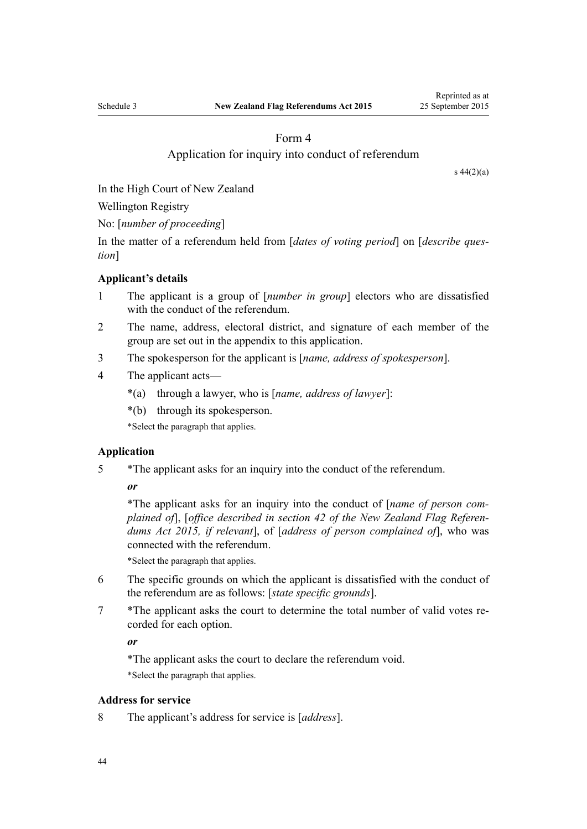# Form 4

## Application for inquiry into conduct of referendum

[s 44\(2\)\(a\)](#page-23-0)

<span id="page-43-0"></span>In the High Court of New Zealand

Wellington Registry

No: [*number of proceeding*]

In the matter of a referendum held from [*dates of voting period*] on [*describe question*]

#### **Applicant's details**

- 1 The applicant is a group of [*number in group*] electors who are dissatisfied with the conduct of the referendum.
- 2 The name, address, electoral district, and signature of each member of the group are set out in the appendix to this application.
- 3 The spokesperson for the applicant is [*name, address of spokesperson*].
- 4 The applicant acts—
	- \*(a) through a lawyer, who is [*name, address of lawyer*]:
	- \*(b) through its spokesperson.

\*Select the paragraph that applies.

## **Application**

5 \*The applicant asks for an inquiry into the conduct of the referendum.

*or*

\*The applicant asks for an inquiry into the conduct of [*name of person complained of*], [*office described in [section 42](#page-22-0) of the New Zealand Flag Referendums Act 2015, if relevant*], of [*address of person complained of*], who was connected with the referendum.

\*Select the paragraph that applies.

- 6 The specific grounds on which the applicant is dissatisfied with the conduct of the referendum are as follows: [*state specific grounds*].
- 7 \*The applicant asks the court to determine the total number of valid votes recorded for each option.

*or*

\*The applicant asks the court to declare the referendum void. \*Select the paragraph that applies.

## **Address for service**

8 The applicant's address for service is [*address*].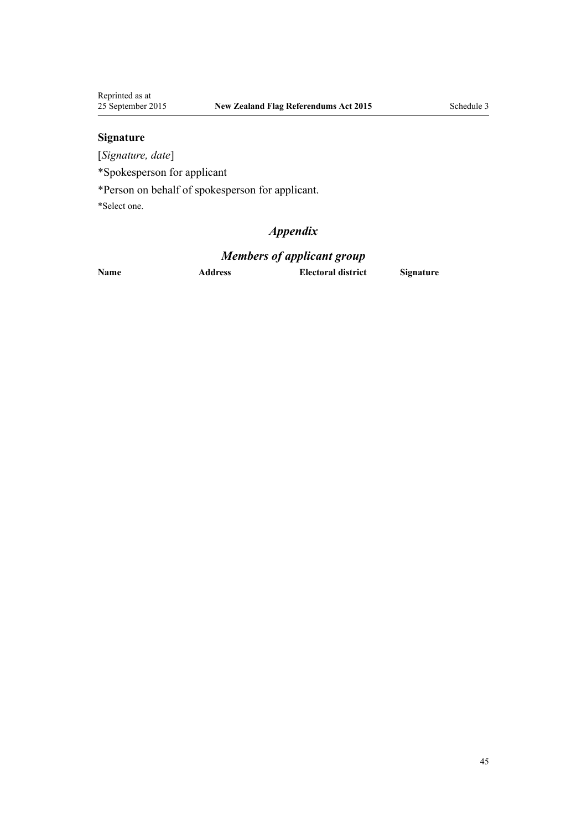# **Signature**

[*Signature, date*]

\*Spokesperson for applicant

\*Person on behalf of spokesperson for applicant.

\*Select one.

# *Appendix*

# *Members of applicant group*

**Name Address Electoral district Signature**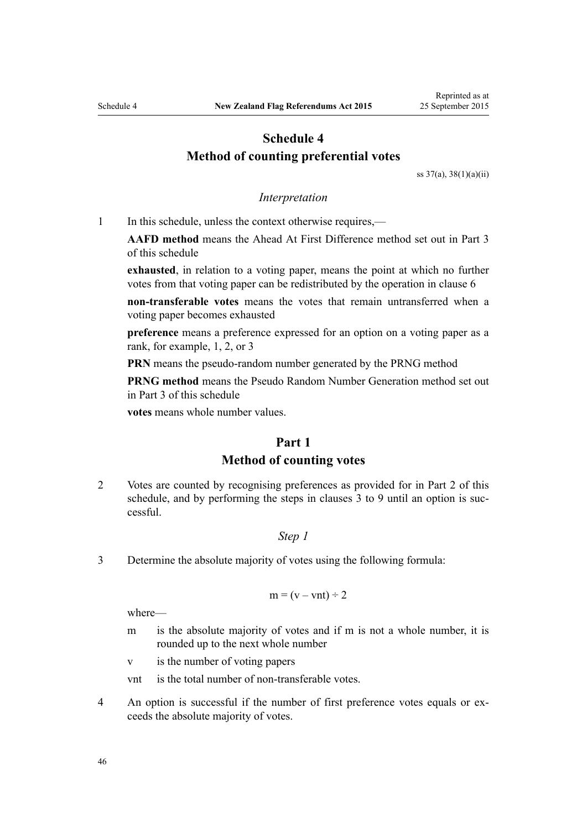# <span id="page-45-0"></span>**Schedule 4 Method of counting preferential votes**

[ss 37\(a\)](#page-20-0), [38\(1\)\(a\)\(ii\)](#page-20-0)

#### *Interpretation*

1 In this schedule, unless the context otherwise requires,—

**AAFD method** means the Ahead At First Difference method set out in [Part 3](#page-48-0) of this schedule

**exhausted**, in relation to a voting paper, means the point at which no further votes from that voting paper can be redistributed by the operation in [clause 6](#page-46-0)

**non-transferable votes** means the votes that remain untransferred when a voting paper becomes exhausted

**preference** means a preference expressed for an option on a voting paper as a rank, for example, 1, 2, or 3

**PRN** means the pseudo-random number generated by the PRNG method

**PRNG method** means the Pseudo Random Number Generation method set out in [Part 3](#page-48-0) of this schedule

**votes** means whole number values.

# **Part 1 Method of counting votes**

2 Votes are counted by recognising preferences as provided for in [Part 2](#page-46-0) of this schedule, and by performing the steps in clauses 3 to 9 until an option is successful.

## *Step 1*

3 Determine the absolute majority of votes using the following formula:

$$
m = (v - vnt) \div 2
$$

where—

m is the absolute majority of votes and if m is not a whole number, it is rounded up to the next whole number

v is the number of voting papers

- vnt is the total number of non-transferable votes.
- 4 An option is successful if the number of first preference votes equals or exceeds the absolute majority of votes.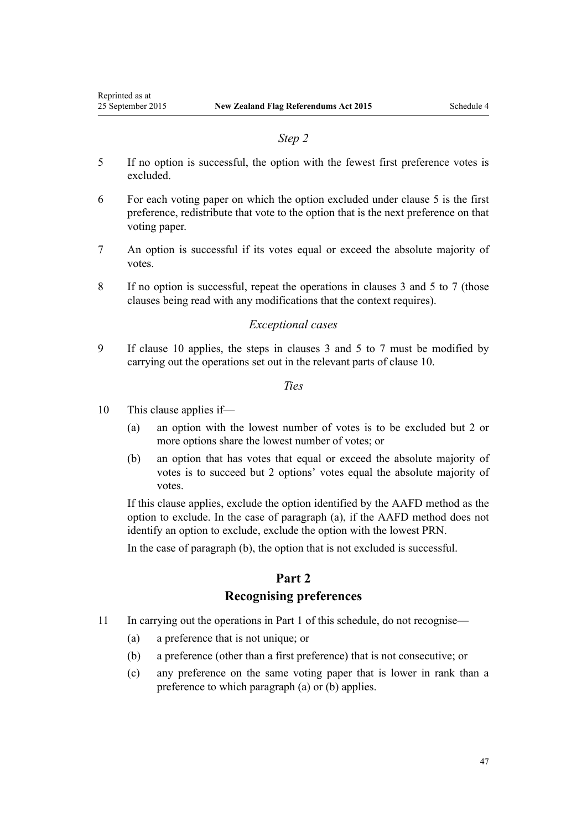#### *Step 2*

- <span id="page-46-0"></span>5 If no option is successful, the option with the fewest first preference votes is excluded.
- 6 For each voting paper on which the option excluded under clause 5 is the first preference, redistribute that vote to the option that is the next preference on that voting paper.
- 7 An option is successful if its votes equal or exceed the absolute majority of votes.
- 8 If no option is successful, repeat the operations in [clauses 3](#page-45-0) and 5 to 7 (those clauses being read with any modifications that the context requires).

### *Exceptional cases*

9 If clause 10 applies, the steps in [clauses 3](#page-45-0) and 5 to 7 must be modified by carrying out the operations set out in the relevant parts of clause 10.

*Ties*

- 10 This clause applies if—
	- (a) an option with the lowest number of votes is to be excluded but 2 or more options share the lowest number of votes; or
	- (b) an option that has votes that equal or exceed the absolute majority of votes is to succeed but 2 options' votes equal the absolute majority of votes.

If this clause applies, exclude the option identified by the AAFD method as the option to exclude. In the case of paragraph (a), if the AAFD method does not identify an option to exclude, exclude the option with the lowest PRN.

In the case of paragraph (b), the option that is not excluded is successful.

# **Part 2 Recognising preferences**

- 11 In carrying out the operations in [Part 1](#page-45-0) of this schedule, do not recognise—
	- (a) a preference that is not unique; or
	- (b) a preference (other than a first preference) that is not consecutive; or
	- (c) any preference on the same voting paper that is lower in rank than a preference to which paragraph (a) or (b) applies.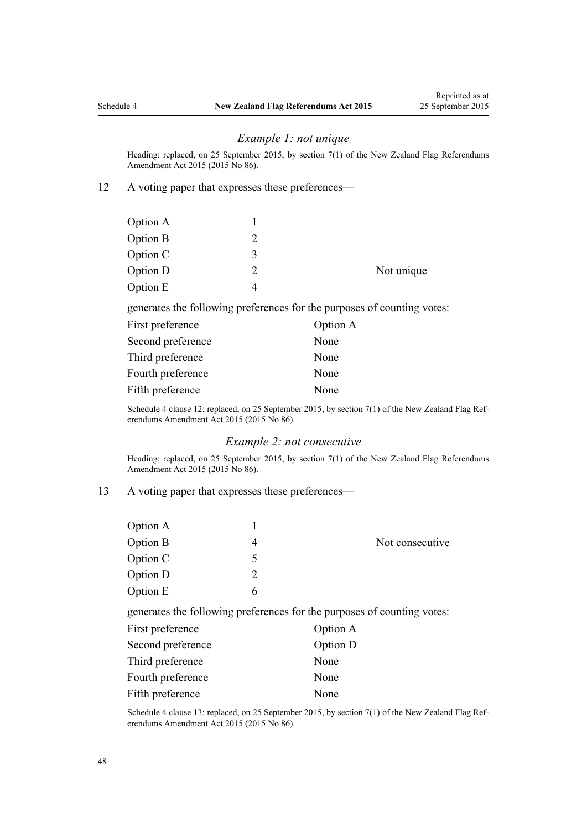#### *Example 1: not unique*

Heading: replaced, on 25 September 2015, by [section 7\(1\)](http://prd-lgnz-nlb.prd.pco.net.nz/pdflink.aspx?id=DLM6601816) of the New Zealand Flag Referendums Amendment Act 2015 (2015 No 86).

12 A voting paper that expresses these preferences—

| Option A |   |            |
|----------|---|------------|
| Option B |   |            |
| Option C | 2 |            |
| Option D |   | Not unique |
| Option E |   |            |
|          |   |            |

generates the following preferences for the purposes of counting votes:

| First preference  | Option A |
|-------------------|----------|
| Second preference | None     |
| Third preference  | None     |
| Fourth preference | None     |
| Fifth preference  | None     |

Schedule 4 clause 12: replaced, on 25 September 2015, by [section 7\(1\)](http://prd-lgnz-nlb.prd.pco.net.nz/pdflink.aspx?id=DLM6601816) of the New Zealand Flag Referendums Amendment Act 2015 (2015 No 86).

## *Example 2: not consecutive*

Heading: replaced, on 25 September 2015, by [section 7\(1\)](http://prd-lgnz-nlb.prd.pco.net.nz/pdflink.aspx?id=DLM6601816) of the New Zealand Flag Referendums Amendment Act 2015 (2015 No 86).

13 A voting paper that expresses these preferences—

| Option A |               |                 |
|----------|---------------|-----------------|
| Option B |               | Not consecutive |
| Option C | $\mathcal{D}$ |                 |
| Option D | $\mathcal{D}$ |                 |
| Option E | h             |                 |
|          |               |                 |

generates the following preferences for the purposes of counting votes:

| First preference  | Option A |
|-------------------|----------|
| Second preference | Option D |
| Third preference  | None     |
| Fourth preference | None     |
| Fifth preference  | None     |

Schedule 4 clause 13: replaced, on 25 September 2015, by [section 7\(1\)](http://prd-lgnz-nlb.prd.pco.net.nz/pdflink.aspx?id=DLM6601816) of the New Zealand Flag Referendums Amendment Act 2015 (2015 No 86).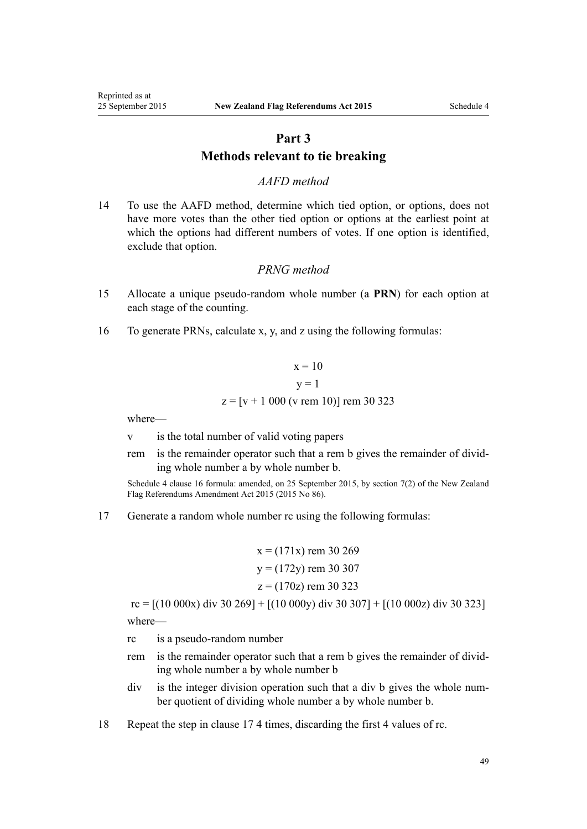# **Part 3 Methods relevant to tie breaking**

## *AAFD method*

<span id="page-48-0"></span>14 To use the AAFD method, determine which tied option, or options, does not have more votes than the other tied option or options at the earliest point at which the options had different numbers of votes. If one option is identified, exclude that option.

# *PRNG method*

- 15 Allocate a unique pseudo-random whole number (a **PRN**) for each option at each stage of the counting.
- 16 To generate PRNs, calculate x, y, and z using the following formulas:

$$
x = 10
$$
  
y = 1  
z = [v + 1 000 (v rem 10)] rem 30 323

where—

- v is the total number of valid voting papers
- rem is the remainder operator such that a rem b gives the remainder of dividing whole number a by whole number b.

Schedule 4 clause 16 formula: amended, on 25 September 2015, by [section 7\(2\)](http://prd-lgnz-nlb.prd.pco.net.nz/pdflink.aspx?id=DLM6601816) of the New Zealand Flag Referendums Amendment Act 2015 (2015 No 86).

17 Generate a random whole number rc using the following formulas:

$$
x = (171x) \text{ rem } 30\,269
$$
  

$$
y = (172y) \text{ rem } 30\,307
$$
  

$$
z = (170z) \text{ rem } 30\,323
$$

 $rc = [(10\ 000x)\ div 30\ 269] + [(10\ 000y)\ div 30\ 307] + [(10\ 000z)\ div 30\ 323]$ where—

- rc is a pseudo-random number
- rem is the remainder operator such that a rem b gives the remainder of dividing whole number a by whole number b
- div is the integer division operation such that a div b gives the whole number quotient of dividing whole number a by whole number b.
- 18 Repeat the step in clause 17 4 times, discarding the first 4 values of rc.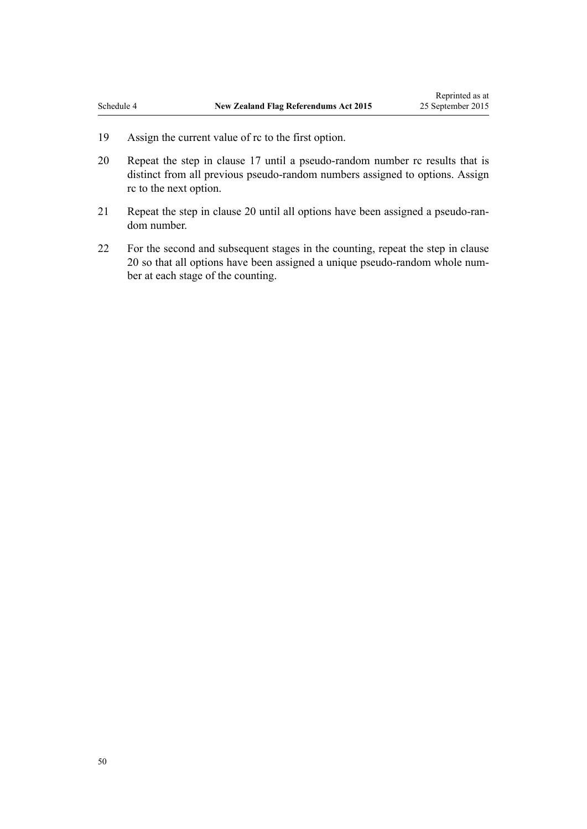- 19 Assign the current value of rc to the first option.
- 20 Repeat the step in [clause 17](#page-48-0) until a pseudo-random number rc results that is distinct from all previous pseudo-random numbers assigned to options. Assign rc to the next option.
- 21 Repeat the step in clause 20 until all options have been assigned a pseudo-random number.
- 22 For the second and subsequent stages in the counting, repeat the step in clause 20 so that all options have been assigned a unique pseudo-random whole number at each stage of the counting.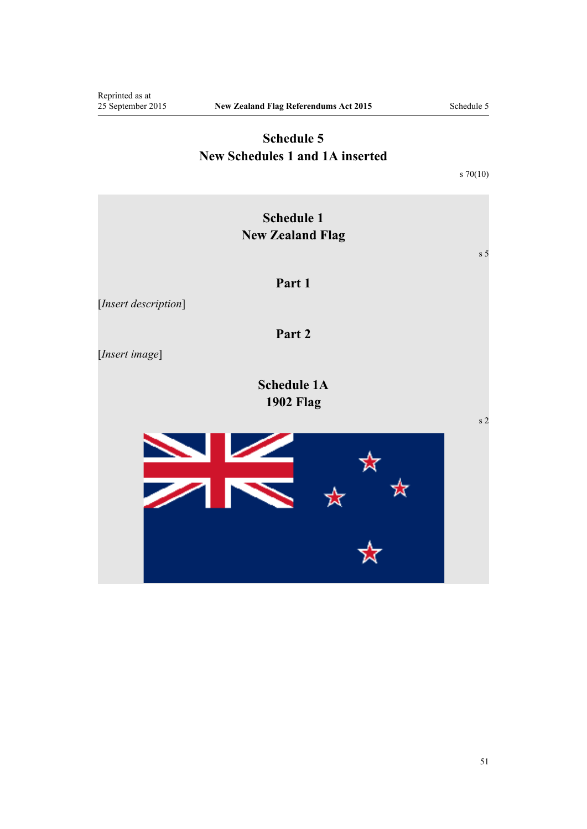# **Schedule 5 New Schedules 1 and 1A inserted**

[s 70\(10\)](#page-35-0)

<span id="page-50-0"></span>